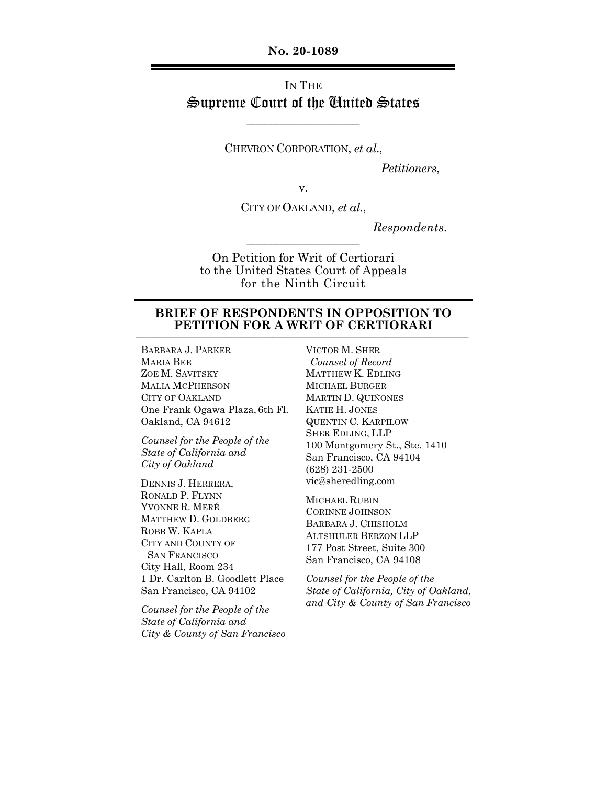**No. 20-1089**

# IN THE Supreme Court of the United States

CHEVRON CORPORATION, *et al*.,

 $\_$ 

*Petitioners*,

v.

CITY OF OAKLAND, *et al.*,

 $\overline{\phantom{a}}$  , where  $\overline{\phantom{a}}$ 

*Respondents.*

On Petition for Writ of Certiorari to the United States Court of Appeals for the Ninth Circuit

## **BRIEF OF RESPONDENTS IN OPPOSITION TO PETITION FOR A WRIT OF CERTIORARI**

BARBARA J. PARKER MARIA BEE ZOE M. SAVITSKY MALIA MCPHERSON CITY OF OAKLAND One Frank Ogawa Plaza, 6th Fl. Oakland, CA 94612

*Counsel for the People of the State of California and City of Oakland*

DENNIS J. HERRERA, RONALD P. FLYNN YVONNE R. MERÉ MATTHEW D. GOLDBERG ROBB W. KAPLA CITY AND COUNTY OF SAN FRANCISCO City Hall, Room 234 1 Dr. Carlton B. Goodlett Place San Francisco, CA 94102

*Counsel for the People of the State of California and City & County of San Francisco* VICTOR M. SHER *Counsel of Record* MATTHEW K. EDLING MICHAEL BURGER MARTIN D. QUIÑONES KATIE H. JONES QUENTIN C. KARPILOW SHER EDLING, LLP 100 Montgomery St., Ste. 1410 San Francisco, CA 94104 (628) 231-2500 vic@sheredling.com

MICHAEL RUBIN CORINNE JOHNSON BARBARA J. CHISHOLM ALTSHULER BERZON LLP 177 Post Street, Suite 300 San Francisco, CA 94108

*Counsel for the People of the State of California, City of Oakland, and City & County of San Francisco*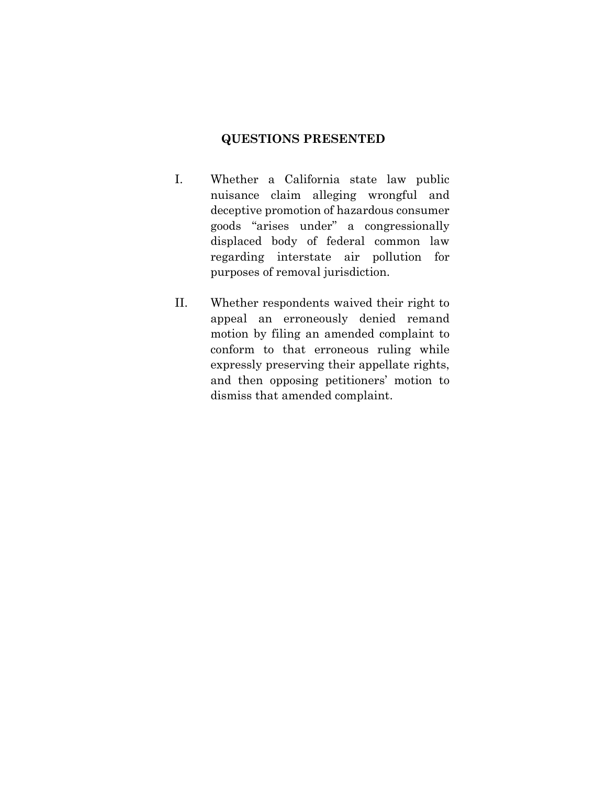## **QUESTIONS PRESENTED**

- I. Whether a California state law public nuisance claim alleging wrongful and deceptive promotion of hazardous consumer goods "arises under" a congressionally displaced body of federal common law regarding interstate air pollution for purposes of removal jurisdiction.
- II. Whether respondents waived their right to appeal an erroneously denied remand motion by filing an amended complaint to conform to that erroneous ruling while expressly preserving their appellate rights, and then opposing petitioners' motion to dismiss that amended complaint.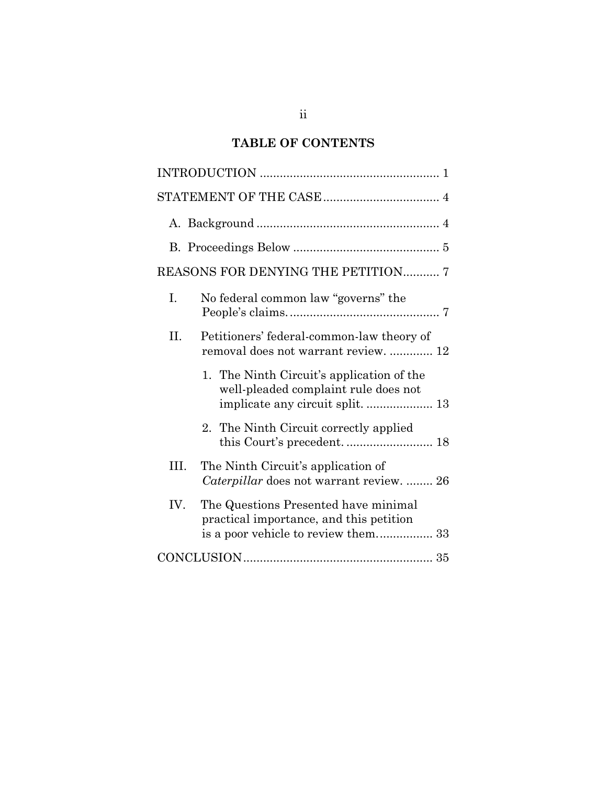## **TABLE OF CONTENTS**

| REASONS FOR DENYING THE PETITION 7                                                                                    |
|-----------------------------------------------------------------------------------------------------------------------|
| I.<br>No federal common law "governs" the                                                                             |
| Η.<br>Petitioners' federal-common-law theory of<br>removal does not warrant review.  12                               |
| 1. The Ninth Circuit's application of the<br>well-pleaded complaint rule does not<br>implicate any circuit split.  13 |
| 2. The Ninth Circuit correctly applied                                                                                |
| The Ninth Circuit's application of<br>III.<br>Caterpillar does not warrant review.  26                                |
| IV.<br>The Questions Presented have minimal<br>practical importance, and this petition                                |
|                                                                                                                       |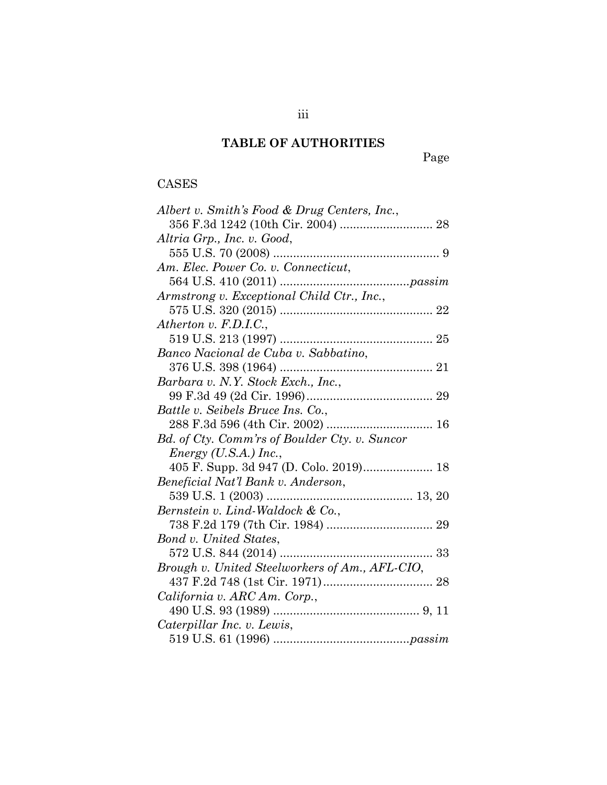## **TABLE OF AUTHORITIES**

Page

# CASES

| Albert v. Smith's Food & Drug Centers, Inc.,   |
|------------------------------------------------|
|                                                |
| Altria Grp., Inc. v. Good,                     |
|                                                |
| Am. Elec. Power Co. v. Connecticut,            |
|                                                |
| Armstrong v. Exceptional Child Ctr., Inc.,     |
|                                                |
| Atherton v. F.D.I.C.,                          |
|                                                |
| Banco Nacional de Cuba v. Sabbatino,           |
|                                                |
| Barbara v. N.Y. Stock Exch., Inc.,             |
|                                                |
| Battle v. Seibels Bruce Ins. Co.,              |
|                                                |
| Bd. of Cty. Comm'rs of Boulder Cty. v. Suncor  |
| $Energy (U.S.A.)$ Inc.,                        |
|                                                |
| Beneficial Nat'l Bank v. Anderson,             |
|                                                |
| Bernstein v. Lind-Waldock & Co.,               |
|                                                |
| Bond v. United States,                         |
|                                                |
| Brough v. United Steelworkers of Am., AFL-CIO, |
|                                                |
| California v. ARC Am. Corp.,                   |
|                                                |
| Caterpillar Inc. v. Lewis,                     |
|                                                |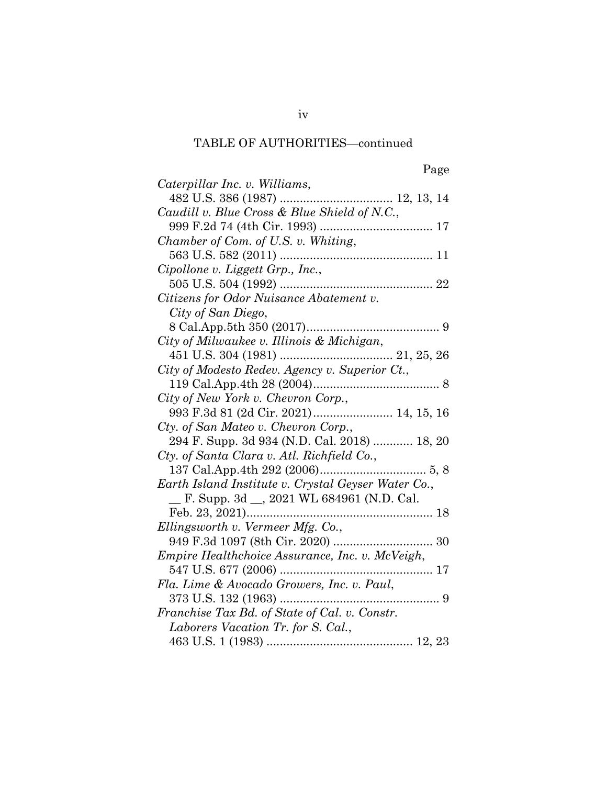| Caterpillar Inc. v. Williams,                       |
|-----------------------------------------------------|
|                                                     |
| Caudill v. Blue Cross & Blue Shield of N.C.,        |
|                                                     |
| Chamber of Com. of U.S. v. Whiting,                 |
|                                                     |
| Cipollone v. Liggett Grp., Inc.,                    |
|                                                     |
| Citizens for Odor Nuisance Abatement v.             |
| City of San Diego,                                  |
|                                                     |
| City of Milwaukee v. Illinois & Michigan,           |
|                                                     |
| City of Modesto Redev. Agency v. Superior Ct.,      |
|                                                     |
| City of New York v. Chevron Corp.,                  |
| 993 F.3d 81 (2d Cir. 2021) 14, 15, 16               |
| Cty. of San Mateo v. Chevron Corp.,                 |
| 294 F. Supp. 3d 934 (N.D. Cal. 2018)  18, 20        |
| Cty. of Santa Clara v. Atl. Richfield Co.,          |
|                                                     |
| Earth Island Institute v. Crystal Geyser Water Co., |
| F. Supp. 3d __, 2021 WL 684961 (N.D. Cal.           |
|                                                     |
| Ellingsworth v. Vermeer Mfg. Co.,                   |
|                                                     |
| Empire Healthchoice Assurance, Inc. v. McVeigh,     |
|                                                     |
| Fla. Lime & Avocado Growers, Inc. v. Paul,          |
| 373 U.S. 132 (1963)                                 |
| Franchise Tax Bd. of State of Cal. v. Constr.       |
| Laborers Vacation Tr. for S. Cal.,                  |
|                                                     |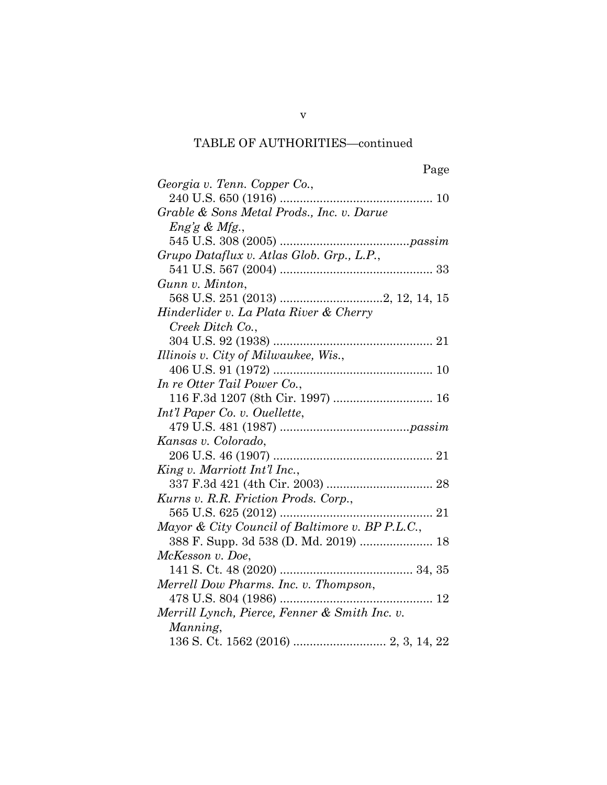| Georgia v. Tenn. Copper Co.,                    |
|-------------------------------------------------|
|                                                 |
| Grable & Sons Metal Prods., Inc. v. Darue       |
| $Eng'g \& Mfg.$                                 |
|                                                 |
| Grupo Dataflux v. Atlas Glob. Grp., L.P.,       |
|                                                 |
| Gunn v. Minton,                                 |
|                                                 |
| Hinderlider v. La Plata River & Cherry          |
| Creek Ditch Co.,                                |
|                                                 |
| Illinois v. City of Milwaukee, Wis.,            |
|                                                 |
| In re Otter Tail Power Co.,                     |
| 116 F.3d 1207 (8th Cir. 1997)  16               |
| Int'l Paper Co. v. Ouellette,                   |
|                                                 |
| Kansas v. Colorado,                             |
|                                                 |
| King v. Marriott Int'l Inc.,                    |
|                                                 |
| Kurns v. R.R. Friction Prods. Corp.,            |
|                                                 |
| Mayor & City Council of Baltimore v. BP P.L.C., |
| 388 F. Supp. 3d 538 (D. Md. 2019)  18           |
| McKesson v. Doe,                                |
|                                                 |
| Merrell Dow Pharms. Inc. v. Thompson,           |
|                                                 |
| Merrill Lynch, Pierce, Fenner & Smith Inc. v.   |
| Manning,                                        |
|                                                 |

v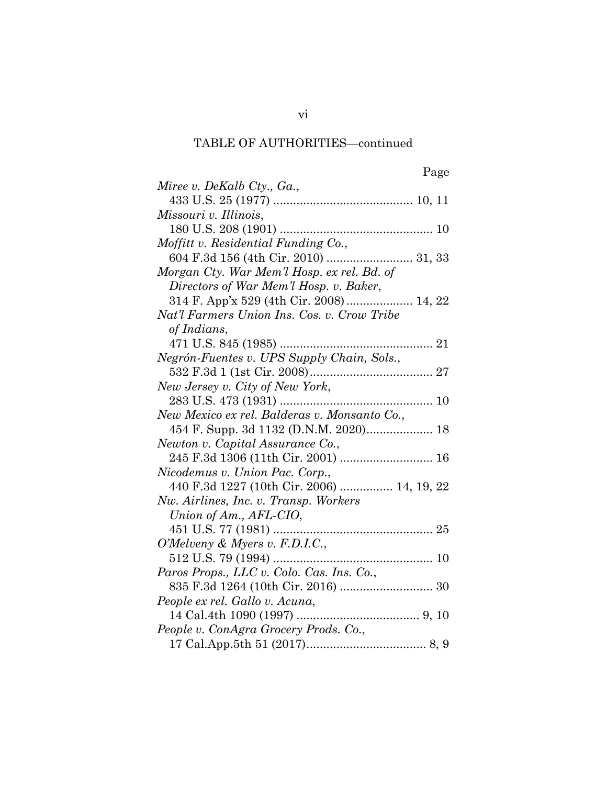| Miree v. DeKalb Cty., Ga.,                   |
|----------------------------------------------|
|                                              |
| Missouri v. Illinois,                        |
|                                              |
| Moffitt v. Residential Funding Co.,          |
|                                              |
| Morgan Cty. War Mem'l Hosp. ex rel. Bd. of   |
| Directors of War Mem'l Hosp. v. Baker,       |
|                                              |
| Nat'l Farmers Union Ins. Cos. v. Crow Tribe  |
| of Indians,                                  |
|                                              |
| Negrón-Fuentes v. UPS Supply Chain, Sols.,   |
|                                              |
| New Jersey v. City of New York,              |
|                                              |
| New Mexico ex rel. Balderas v. Monsanto Co., |
| 454 F. Supp. 3d 1132 (D.N.M. 2020) 18        |
| Newton v. Capital Assurance Co.,             |
| 245 F.3d 1306 (11th Cir. 2001)  16           |
| Nicodemus v. Union Pac. Corp.,               |
| 440 F.3d 1227 (10th Cir. 2006)  14, 19, 22   |
| Nw. Airlines, Inc. v. Transp. Workers        |
| Union of Am., AFL-CIO,                       |
|                                              |
| O'Melveny & Myers v. F.D.I.C.,               |
|                                              |
| Paros Props., LLC v. Colo. Cas. Ins. Co.,    |
|                                              |
| People ex rel. Gallo v. Acuna,               |
|                                              |
| People v. ConAgra Grocery Prods. Co.,        |
|                                              |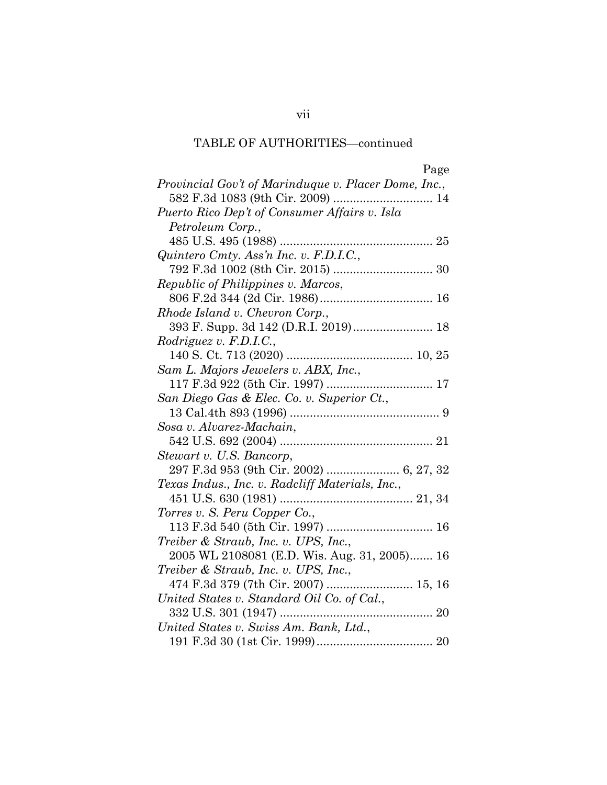| ۰.<br>۰ | r. |  |
|---------|----|--|

| Provincial Gov't of Marinduque v. Placer Dome, Inc., |  |
|------------------------------------------------------|--|
| 582 F.3d 1083 (9th Cir. 2009)  14                    |  |
| Puerto Rico Dep't of Consumer Affairs v. Isla        |  |
| Petroleum Corp.,                                     |  |
|                                                      |  |
| Quintero Cmty. Ass'n Inc. v. F.D.I.C.,               |  |
|                                                      |  |
| Republic of Philippines v. Marcos,                   |  |
|                                                      |  |
| Rhode Island v. Chevron Corp.,                       |  |
| 393 F. Supp. 3d 142 (D.R.I. 2019) 18                 |  |
| Rodriguez v. F.D.I.C.,                               |  |
|                                                      |  |
| Sam L. Majors Jewelers v. ABX, Inc.,                 |  |
|                                                      |  |
| San Diego Gas & Elec. Co. v. Superior Ct.,           |  |
|                                                      |  |
| Sosa v. Alvarez-Machain,                             |  |
|                                                      |  |
| Stewart v. U.S. Bancorp,                             |  |
| 297 F.3d 953 (9th Cir. 2002)  6, 27, 32              |  |
| Texas Indus., Inc. v. Radcliff Materials, Inc.,      |  |
|                                                      |  |
| Torres v. S. Peru Copper Co.,                        |  |
|                                                      |  |
| Treiber & Straub, Inc. v. UPS, Inc.,                 |  |
| 2005 WL 2108081 (E.D. Wis. Aug. 31, 2005) 16         |  |
| Treiber & Straub, Inc. v. UPS, Inc.,                 |  |
| 474 F.3d 379 (7th Cir. 2007)  15, 16                 |  |
| United States v. Standard Oil Co. of Cal.,           |  |
|                                                      |  |
| United States v. Swiss Am. Bank, Ltd.,               |  |
|                                                      |  |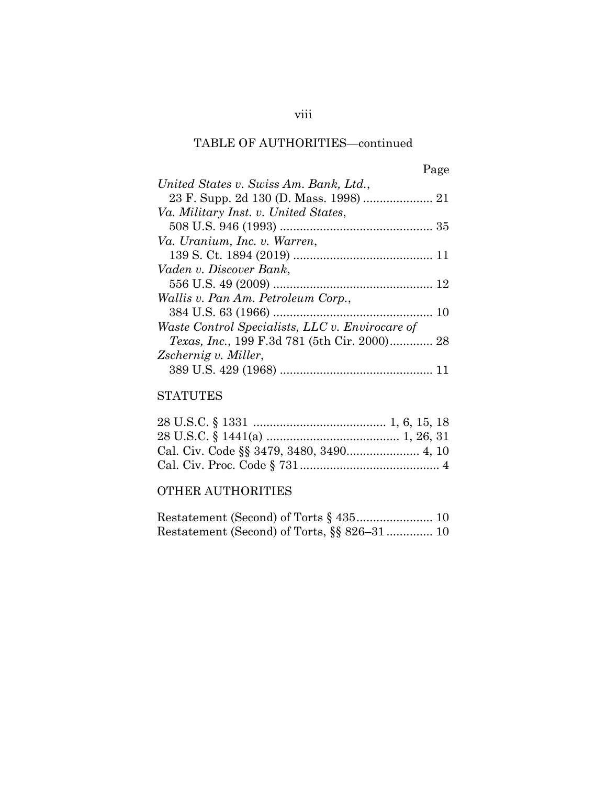|--|

| United States v. Swiss Am. Bank, Ltd.,              |
|-----------------------------------------------------|
|                                                     |
| Va. Military Inst. v. United States,                |
|                                                     |
| Va. Uranium, Inc. v. Warren,                        |
|                                                     |
| Vaden v. Discover Bank,                             |
|                                                     |
| Wallis v. Pan Am. Petroleum Corp.,                  |
| 10                                                  |
| Waste Control Specialists, LLC v. Envirocare of     |
| <i>Texas, Inc.,</i> 199 F.3d 781 (5th Cir. 2000) 28 |
| Zschernig v. Miller,                                |
|                                                     |

## STATUTES

# OTHER AUTHORITIES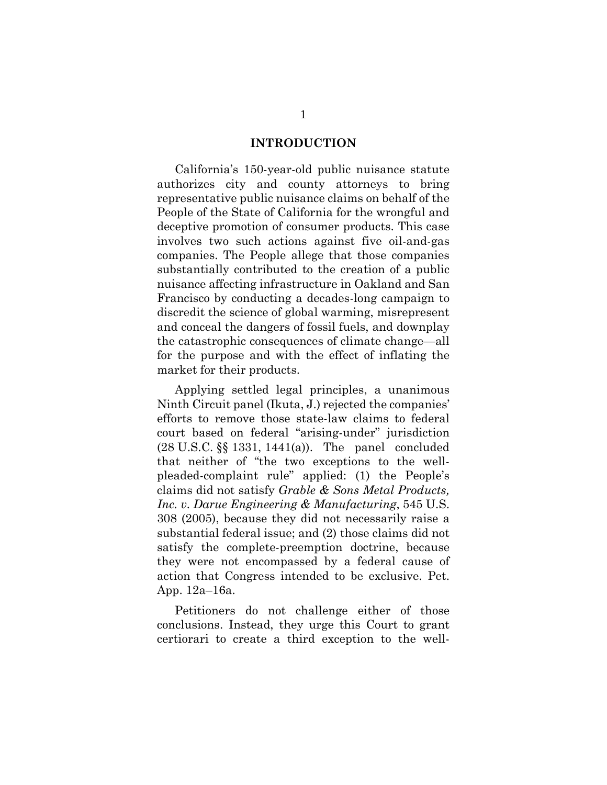#### **INTRODUCTION**

<span id="page-9-0"></span>California's 150-year-old public nuisance statute authorizes city and county attorneys to bring representative public nuisance claims on behalf of the People of the State of California for the wrongful and deceptive promotion of consumer products. This case involves two such actions against five oil-and-gas companies. The People allege that those companies substantially contributed to the creation of a public nuisance affecting infrastructure in Oakland and San Francisco by conducting a decades-long campaign to discredit the science of global warming, misrepresent and conceal the dangers of fossil fuels, and downplay the catastrophic consequences of climate change—all for the purpose and with the effect of inflating the market for their products.

Applying settled legal principles, a unanimous Ninth Circuit panel (Ikuta, J.) rejected the companies' efforts to remove those state-law claims to federal court based on federal "arising-under" jurisdiction (28 U.S.C. §§ 1331, 1441(a)). The panel concluded that neither of "the two exceptions to the wellpleaded-complaint rule" applied: (1) the People's claims did not satisfy *Grable & Sons Metal Products, Inc. v. Darue Engineering & Manufacturing*, 545 U.S. 308 (2005), because they did not necessarily raise a substantial federal issue; and (2) those claims did not satisfy the complete-preemption doctrine, because they were not encompassed by a federal cause of action that Congress intended to be exclusive. Pet. App. 12a–16a.

Petitioners do not challenge either of those conclusions. Instead, they urge this Court to grant certiorari to create a third exception to the well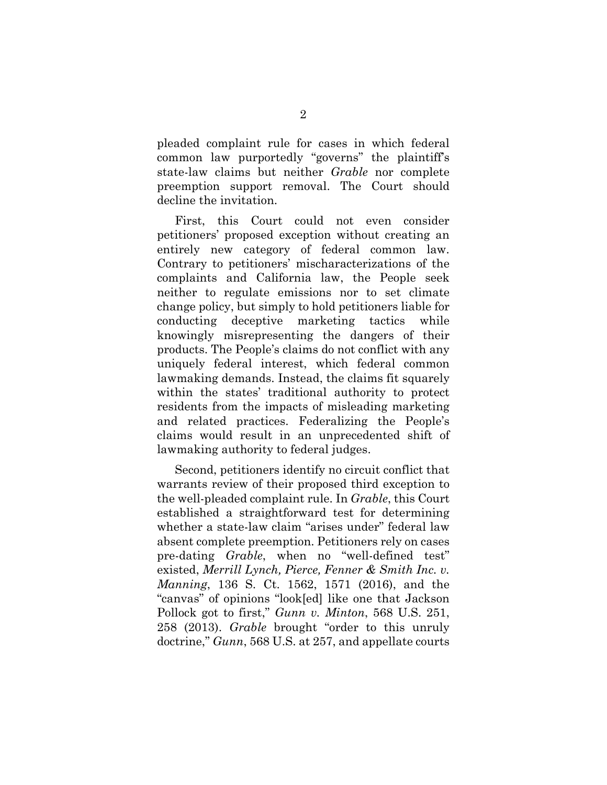pleaded complaint rule for cases in which federal common law purportedly "governs" the plaintiff's state-law claims but neither *Grable* nor complete preemption support removal. The Court should decline the invitation.

First, this Court could not even consider petitioners' proposed exception without creating an entirely new category of federal common law. Contrary to petitioners' mischaracterizations of the complaints and California law, the People seek neither to regulate emissions nor to set climate change policy, but simply to hold petitioners liable for conducting deceptive marketing tactics while knowingly misrepresenting the dangers of their products. The People's claims do not conflict with any uniquely federal interest, which federal common lawmaking demands. Instead, the claims fit squarely within the states' traditional authority to protect residents from the impacts of misleading marketing and related practices. Federalizing the People's claims would result in an unprecedented shift of lawmaking authority to federal judges.

Second, petitioners identify no circuit conflict that warrants review of their proposed third exception to the well-pleaded complaint rule. In *Grable*, this Court established a straightforward test for determining whether a state-law claim "arises under" federal law absent complete preemption. Petitioners rely on cases pre-dating *Grable*, when no "well-defined test" existed, *Merrill Lynch, Pierce, Fenner & Smith Inc. v. Manning*, 136 S. Ct. 1562, 1571 (2016), and the "canvas" of opinions "look[ed] like one that Jackson Pollock got to first," *Gunn v. Minton*, 568 U.S. 251, 258 (2013). *Grable* brought "order to this unruly doctrine," *Gunn*, 568 U.S. at 257, and appellate courts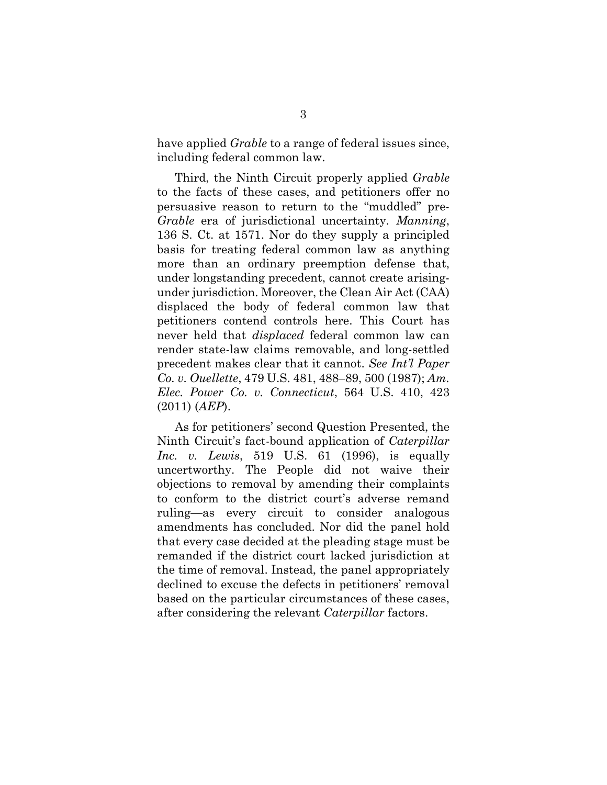have applied *Grable* to a range of federal issues since, including federal common law.

Third, the Ninth Circuit properly applied *Grable*  to the facts of these cases, and petitioners offer no persuasive reason to return to the "muddled" pre-*Grable* era of jurisdictional uncertainty. *Manning*, 136 S. Ct. at 1571. Nor do they supply a principled basis for treating federal common law as anything more than an ordinary preemption defense that, under longstanding precedent, cannot create arisingunder jurisdiction. Moreover, the Clean Air Act (CAA) displaced the body of federal common law that petitioners contend controls here. This Court has never held that *displaced* federal common law can render state-law claims removable, and long-settled precedent makes clear that it cannot. *See Int'l Paper Co. v. Ouellette*, 479 U.S. 481, 488–89, 500 (1987); *Am. Elec. Power Co. v. Connecticut*, 564 U.S. 410, 423 (2011) (*AEP*).

As for petitioners' second Question Presented, the Ninth Circuit's fact-bound application of *Caterpillar Inc. v. Lewis*, 519 U.S. 61 (1996), is equally uncertworthy. The People did not waive their objections to removal by amending their complaints to conform to the district court's adverse remand ruling—as every circuit to consider analogous amendments has concluded. Nor did the panel hold that every case decided at the pleading stage must be remanded if the district court lacked jurisdiction at the time of removal. Instead, the panel appropriately declined to excuse the defects in petitioners' removal based on the particular circumstances of these cases, after considering the relevant *Caterpillar* factors.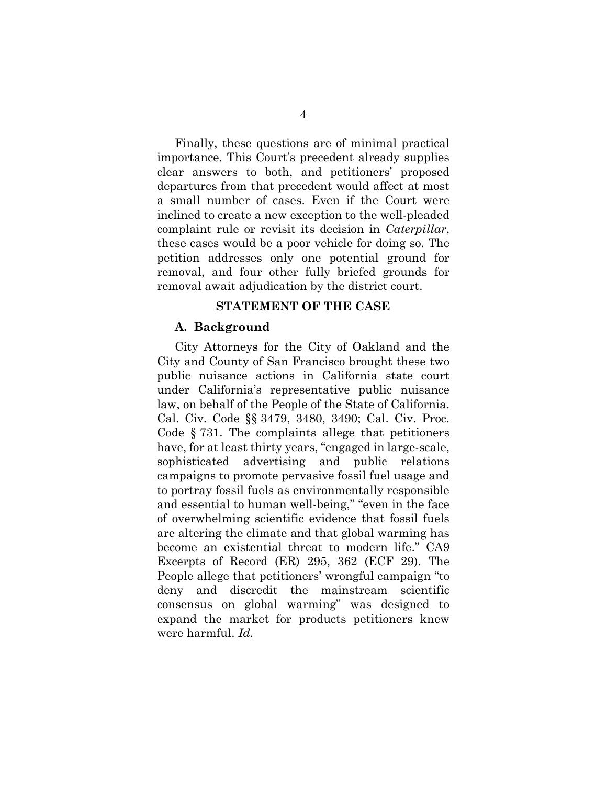Finally, these questions are of minimal practical importance. This Court's precedent already supplies clear answers to both, and petitioners' proposed departures from that precedent would affect at most a small number of cases. Even if the Court were inclined to create a new exception to the well-pleaded complaint rule or revisit its decision in *Caterpillar*, these cases would be a poor vehicle for doing so. The petition addresses only one potential ground for removal, and four other fully briefed grounds for removal await adjudication by the district court.

#### **STATEMENT OF THE CASE**

#### <span id="page-12-1"></span><span id="page-12-0"></span>**A. Background**

City Attorneys for the City of Oakland and the City and County of San Francisco brought these two public nuisance actions in California state court under California's representative public nuisance law, on behalf of the People of the State of California. Cal. Civ. Code §§ 3479, 3480, 3490; Cal. Civ. Proc. Code § 731. The complaints allege that petitioners have, for at least thirty years, "engaged in large-scale, sophisticated advertising and public relations campaigns to promote pervasive fossil fuel usage and to portray fossil fuels as environmentally responsible and essential to human well-being," "even in the face of overwhelming scientific evidence that fossil fuels are altering the climate and that global warming has become an existential threat to modern life." CA9 Excerpts of Record (ER) 295, 362 (ECF 29). The People allege that petitioners' wrongful campaign "to deny and discredit the mainstream scientific consensus on global warming" was designed to expand the market for products petitioners knew were harmful. *Id.*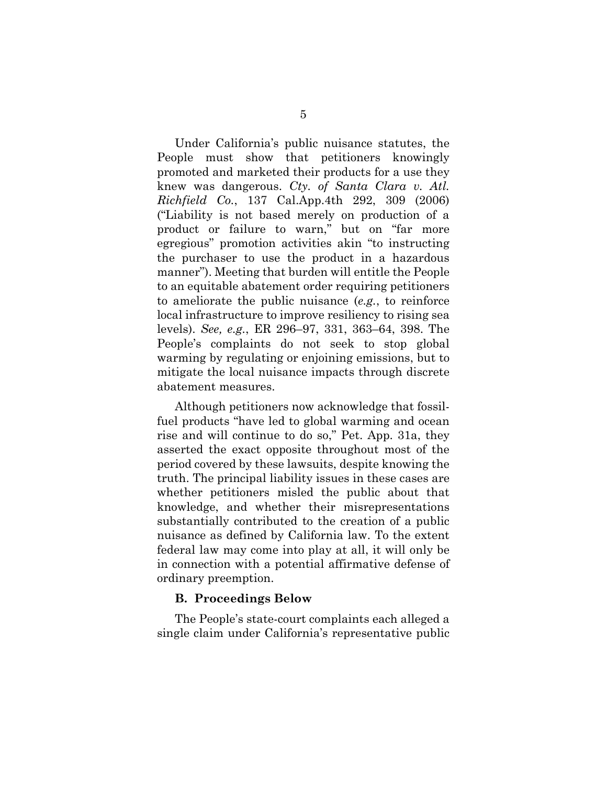Under California's public nuisance statutes, the People must show that petitioners knowingly promoted and marketed their products for a use they knew was dangerous. *Cty. of Santa Clara v. Atl. Richfield Co.*, 137 Cal.App.4th 292, 309 (2006) ("Liability is not based merely on production of a product or failure to warn," but on "far more egregious" promotion activities akin "to instructing the purchaser to use the product in a hazardous manner"). Meeting that burden will entitle the People to an equitable abatement order requiring petitioners to ameliorate the public nuisance (*e.g.*, to reinforce local infrastructure to improve resiliency to rising sea levels). *See, e.g.*, ER 296–97, 331, 363–64, 398. The People's complaints do not seek to stop global warming by regulating or enjoining emissions, but to mitigate the local nuisance impacts through discrete abatement measures.

Although petitioners now acknowledge that fossilfuel products "have led to global warming and ocean rise and will continue to do so," Pet. App. 31a, they asserted the exact opposite throughout most of the period covered by these lawsuits, despite knowing the truth. The principal liability issues in these cases are whether petitioners misled the public about that knowledge, and whether their misrepresentations substantially contributed to the creation of a public nuisance as defined by California law. To the extent federal law may come into play at all, it will only be in connection with a potential affirmative defense of ordinary preemption.

#### <span id="page-13-0"></span>**B. Proceedings Below**

The People's state-court complaints each alleged a single claim under California's representative public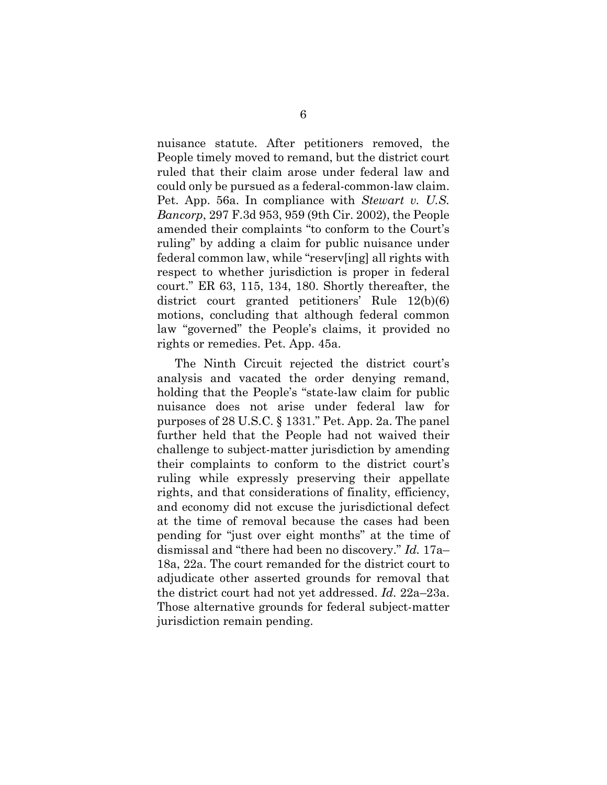nuisance statute. After petitioners removed, the People timely moved to remand, but the district court ruled that their claim arose under federal law and could only be pursued as a federal-common-law claim. Pet. App. 56a. In compliance with *Stewart v. U.S. Bancorp*, 297 F.3d 953, 959 (9th Cir. 2002), the People amended their complaints "to conform to the Court's ruling" by adding a claim for public nuisance under federal common law, while "reserv[ing] all rights with respect to whether jurisdiction is proper in federal court." ER 63, 115, 134, 180. Shortly thereafter, the district court granted petitioners' Rule 12(b)(6) motions, concluding that although federal common law "governed" the People's claims, it provided no rights or remedies. Pet. App. 45a.

The Ninth Circuit rejected the district court's analysis and vacated the order denying remand, holding that the People's "state-law claim for public nuisance does not arise under federal law for purposes of 28 U.S.C. § 1331." Pet. App. 2a. The panel further held that the People had not waived their challenge to subject-matter jurisdiction by amending their complaints to conform to the district court's ruling while expressly preserving their appellate rights, and that considerations of finality, efficiency, and economy did not excuse the jurisdictional defect at the time of removal because the cases had been pending for "just over eight months" at the time of dismissal and "there had been no discovery." *Id.* 17a– 18a, 22a. The court remanded for the district court to adjudicate other asserted grounds for removal that the district court had not yet addressed. *Id.* 22a–23a. Those alternative grounds for federal subject-matter jurisdiction remain pending.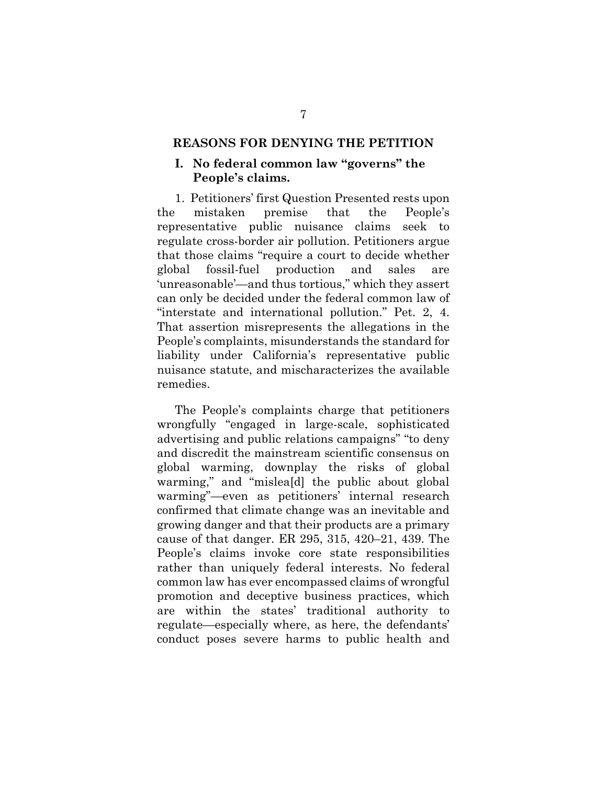#### <span id="page-15-0"></span>**REASONS FOR DENYING THE PETITION**

## <span id="page-15-1"></span>**I. No federal common law "governs" the People's claims.**

1. Petitioners' first Question Presented rests upon the mistaken premise that the People's representative public nuisance claims seek to regulate cross-border air pollution. Petitioners argue that those claims "require a court to decide whether global fossil-fuel production and sales are 'unreasonable'—and thus tortious," which they assert can only be decided under the federal common law of "interstate and international pollution." Pet. 2, 4. That assertion misrepresents the allegations in the People's complaints, misunderstands the standard for liability under California's representative public nuisance statute, and mischaracterizes the available remedies.

The People's complaints charge that petitioners wrongfully "engaged in large-scale, sophisticated advertising and public relations campaigns" "to deny and discredit the mainstream scientific consensus on global warming, downplay the risks of global warming," and "mislea[d] the public about global warming"—even as petitioners' internal research confirmed that climate change was an inevitable and growing danger and that their products are a primary cause of that danger. ER 295, 315, 420–21, 439. The People's claims invoke core state responsibilities rather than uniquely federal interests. No federal common law has ever encompassed claims of wrongful promotion and deceptive business practices, which are within the states' traditional authority to regulate—especially where, as here, the defendants' conduct poses severe harms to public health and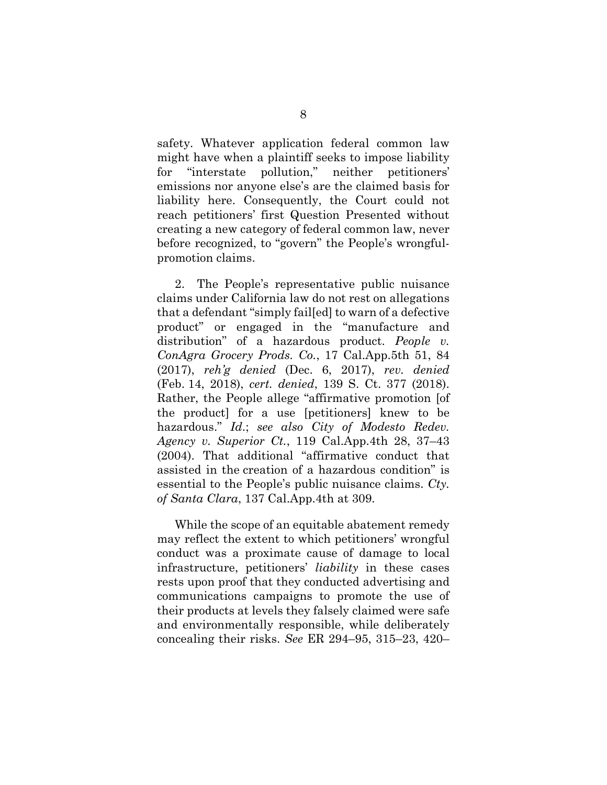safety. Whatever application federal common law might have when a plaintiff seeks to impose liability for "interstate pollution," neither petitioners' emissions nor anyone else's are the claimed basis for liability here. Consequently, the Court could not reach petitioners' first Question Presented without creating a new category of federal common law, never before recognized, to "govern" the People's wrongfulpromotion claims.

2. The People's representative public nuisance claims under California law do not rest on allegations that a defendant "simply fail[ed] to warn of a defective product" or engaged in the "manufacture and distribution" of a hazardous product. *People v. ConAgra Grocery Prods. Co.*, 17 Cal.App.5th 51, 84 (2017), *reh'g denied* (Dec. 6, 2017), *rev. denied* (Feb. 14, 2018), *cert. denied*, 139 S. Ct. 377 (2018). Rather, the People allege "affirmative promotion [of the product] for a use [petitioners] knew to be hazardous." *Id*.; *see also City of Modesto Redev. Agency v. Superior Ct.*, 119 Cal.App.4th 28, 37–43 (2004). That additional "affirmative conduct that assisted in the creation of a hazardous condition" is essential to the People's public nuisance claims. *Cty. of Santa Clara*, 137 Cal.App.4th at 309.

While the scope of an equitable abatement remedy may reflect the extent to which petitioners' wrongful conduct was a proximate cause of damage to local infrastructure, petitioners' *liability* in these cases rests upon proof that they conducted advertising and communications campaigns to promote the use of their products at levels they falsely claimed were safe and environmentally responsible, while deliberately concealing their risks. *See* ER 294–95, 315–23, 420–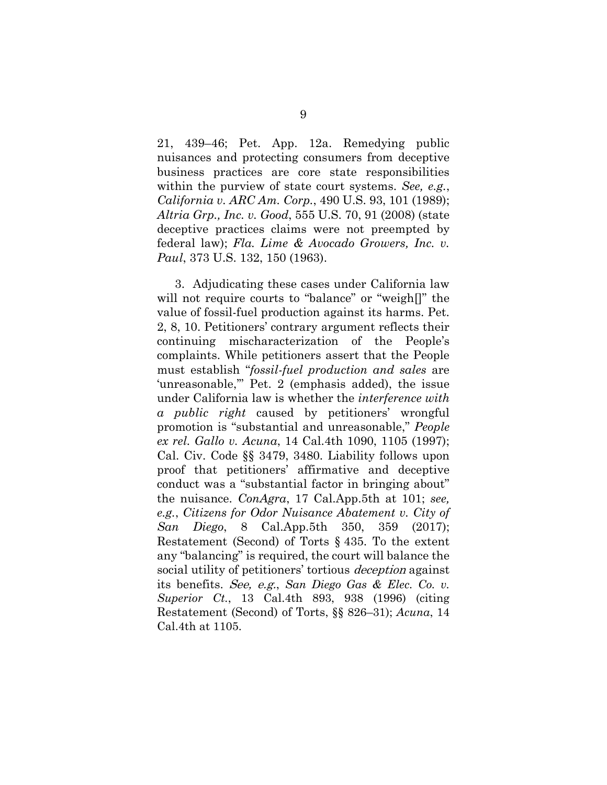21, 439–46; Pet. App. 12a. Remedying public nuisances and protecting consumers from deceptive business practices are core state responsibilities within the purview of state court systems. *See, e.g.*, *California v. ARC Am. Corp.*, 490 U.S. 93, 101 (1989); *Altria Grp., Inc. v. Good*, 555 U.S. 70, 91 (2008) (state deceptive practices claims were not preempted by federal law); *Fla. Lime & Avocado Growers, Inc. v. Paul*, 373 U.S. 132, 150 (1963).

3. Adjudicating these cases under California law will not require courts to "balance" or "weigh[]" the value of fossil-fuel production against its harms. Pet. 2, 8, 10. Petitioners' contrary argument reflects their continuing mischaracterization of the People's complaints. While petitioners assert that the People must establish "*fossil-fuel production and sales* are 'unreasonable,'" Pet. 2 (emphasis added), the issue under California law is whether the *interference with a public right* caused by petitioners' wrongful promotion is "substantial and unreasonable," *People ex rel. Gallo v. Acuna*, 14 Cal.4th 1090, 1105 (1997); Cal. Civ. Code §§ 3479, 3480. Liability follows upon proof that petitioners' affirmative and deceptive conduct was a "substantial factor in bringing about" the nuisance. *ConAgra*, 17 Cal.App.5th at 101; *see, e.g.*, *Citizens for Odor Nuisance Abatement v. City of San Diego*, 8 Cal.App.5th 350, 359 (2017); Restatement (Second) of Torts § 435. To the extent any "balancing" is required, the court will balance the social utility of petitioners' tortious *deception* against its benefits. See, e.g., *San Diego Gas & Elec. Co. v. Superior Ct.*, 13 Cal.4th 893, 938 (1996) (citing Restatement (Second) of Torts, §§ 826–31); *Acuna*, 14 Cal.4th at 1105.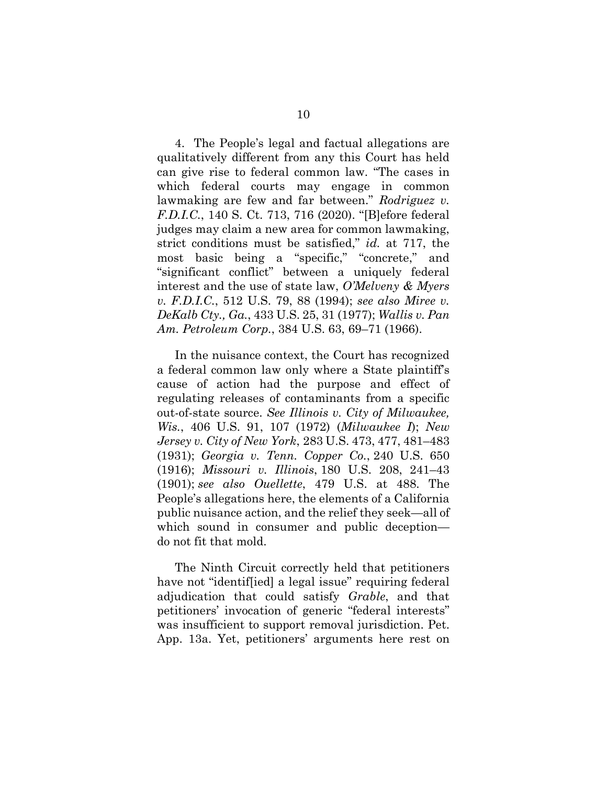4. The People's legal and factual allegations are qualitatively different from any this Court has held can give rise to federal common law. "The cases in which federal courts may engage in common lawmaking are few and far between." *Rodriguez v. F.D.I.C.*, 140 S. Ct. 713, 716 (2020). "[B]efore federal judges may claim a new area for common lawmaking, strict conditions must be satisfied," *id.* at 717, the most basic being a "specific," "concrete," and "significant conflict" between a uniquely federal interest and the use of state law, *O'Melveny & Myers v. F.D.I.C.*, 512 U.S. 79, 88 (1994); *see also Miree v. DeKalb Cty., Ga.*, 433 U.S. 25, 31 (1977); *Wallis v. Pan Am. Petroleum Corp.*, 384 U.S. 63, 69–71 (1966).

In the nuisance context, the Court has recognized a federal common law only where a State plaintiff's cause of action had the purpose and effect of regulating releases of contaminants from a specific out-of-state source. *See Illinois v. City of Milwaukee, Wis.*, 406 U.S. 91, 107 (1972) (*Milwaukee I*); *New Jersey v. City of New York*, 283 U.S. 473, 477, 481–483 (1931); *Georgia v. Tenn. Copper Co.*, 240 U.S. 650 (1916); *Missouri v. Illinois*, 180 U.S. 208, 241–43 (1901); *see also Ouellette*, 479 U.S. at 488. The People's allegations here, the elements of a California public nuisance action, and the relief they seek—all of which sound in consumer and public deception do not fit that mold.

The Ninth Circuit correctly held that petitioners have not "identiffied] a legal issue" requiring federal adjudication that could satisfy *Grable*, and that petitioners' invocation of generic "federal interests" was insufficient to support removal jurisdiction. Pet. App. 13a. Yet, petitioners' arguments here rest on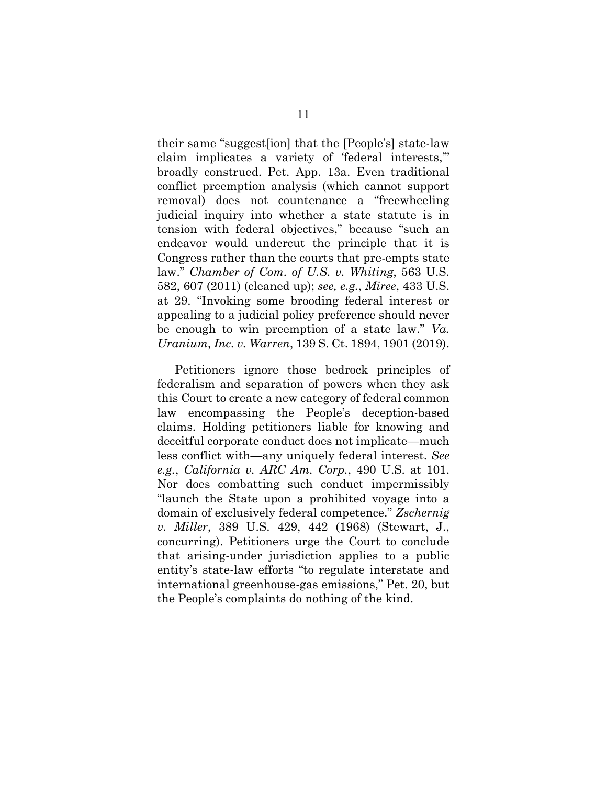their same "suggest[ion] that the [People's] state-law claim implicates a variety of 'federal interests,'" broadly construed. Pet. App. 13a. Even traditional conflict preemption analysis (which cannot support removal) does not countenance a "freewheeling judicial inquiry into whether a state statute is in tension with federal objectives," because "such an endeavor would undercut the principle that it is Congress rather than the courts that pre-empts state law." *Chamber of Com. of U.S. v. Whiting*, 563 U.S. 582, 607 (2011) (cleaned up); *see, e.g.*, *Miree*, 433 U.S. at 29. "Invoking some brooding federal interest or appealing to a judicial policy preference should never be enough to win preemption of a state law." *Va. Uranium, Inc. v. Warren*, 139 S. Ct. 1894, 1901 (2019).

Petitioners ignore those bedrock principles of federalism and separation of powers when they ask this Court to create a new category of federal common law encompassing the People's deception-based claims. Holding petitioners liable for knowing and deceitful corporate conduct does not implicate—much less conflict with—any uniquely federal interest. *See e.g.*, *California v. ARC Am. Corp.*, 490 U.S. at 101. Nor does combatting such conduct impermissibly "launch the State upon a prohibited voyage into a domain of exclusively federal competence." *Zschernig v. Miller*, 389 U.S. 429, 442 (1968) (Stewart, J., concurring). Petitioners urge the Court to conclude that arising-under jurisdiction applies to a public entity's state-law efforts "to regulate interstate and international greenhouse-gas emissions," Pet. 20, but the People's complaints do nothing of the kind.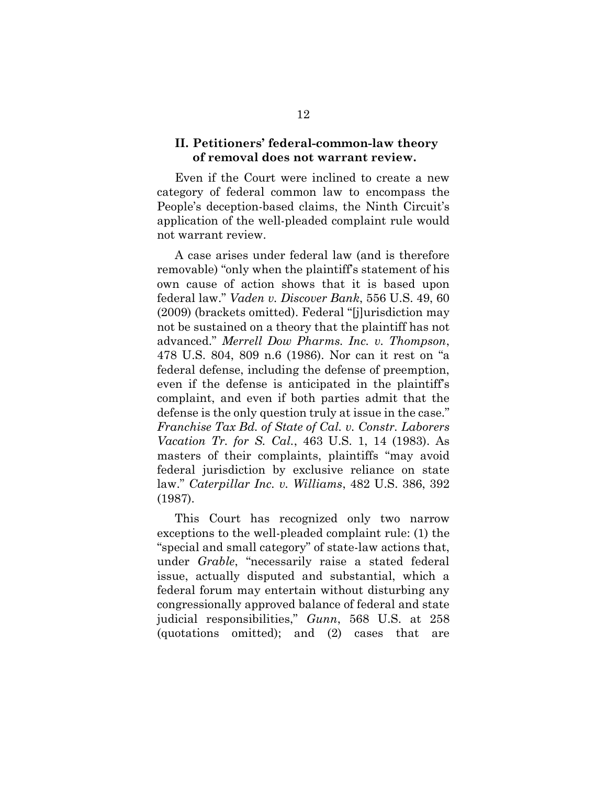### <span id="page-20-0"></span>**II. Petitioners' federal-common-law theory of removal does not warrant review.**

Even if the Court were inclined to create a new category of federal common law to encompass the People's deception-based claims, the Ninth Circuit's application of the well-pleaded complaint rule would not warrant review.

A case arises under federal law (and is therefore removable) "only when the plaintiff's statement of his own cause of action shows that it is based upon federal law." *Vaden v. Discover Bank*, 556 U.S. 49, 60 (2009) (brackets omitted). Federal "[j]urisdiction may not be sustained on a theory that the plaintiff has not advanced." *Merrell Dow Pharms. Inc. v. Thompson*, 478 U.S. 804, 809 n.6 (1986). Nor can it rest on "a federal defense, including the defense of preemption, even if the defense is anticipated in the plaintiff's complaint, and even if both parties admit that the defense is the only question truly at issue in the case." *Franchise Tax Bd. of State of Cal. v. Constr. Laborers Vacation Tr. for S. Cal.*, 463 U.S. 1, 14 (1983). As masters of their complaints, plaintiffs "may avoid federal jurisdiction by exclusive reliance on state law." *Caterpillar Inc. v. Williams*, 482 U.S. 386, 392 (1987).

This Court has recognized only two narrow exceptions to the well-pleaded complaint rule: (1) the "special and small category" of state-law actions that, under *Grable*, "necessarily raise a stated federal issue, actually disputed and substantial, which a federal forum may entertain without disturbing any congressionally approved balance of federal and state judicial responsibilities," *Gunn*, 568 U.S. at 258 (quotations omitted); and (2) cases that are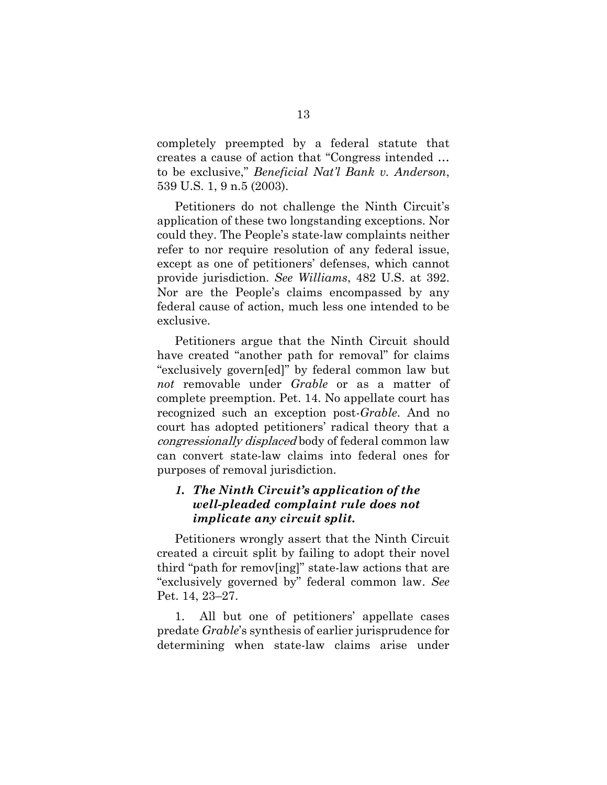completely preempted by a federal statute that creates a cause of action that "Congress intended … to be exclusive," *Beneficial Nat'l Bank v. Anderson*, 539 U.S. 1, 9 n.5 (2003).

Petitioners do not challenge the Ninth Circuit's application of these two longstanding exceptions. Nor could they. The People's state-law complaints neither refer to nor require resolution of any federal issue, except as one of petitioners' defenses, which cannot provide jurisdiction. *See Williams*, 482 U.S. at 392. Nor are the People's claims encompassed by any federal cause of action, much less one intended to be exclusive.

Petitioners argue that the Ninth Circuit should have created "another path for removal" for claims "exclusively govern[ed]" by federal common law but *not* removable under *Grable* or as a matter of complete preemption. Pet. 14. No appellate court has recognized such an exception post-*Grable*. And no court has adopted petitioners' radical theory that a congressionally displaced body of federal common law can convert state-law claims into federal ones for purposes of removal jurisdiction.

## <span id="page-21-0"></span>*1. The Ninth Circuit's application of the well-pleaded complaint rule does not implicate any circuit split.*

Petitioners wrongly assert that the Ninth Circuit created a circuit split by failing to adopt their novel third "path for remov[ing]" state-law actions that are "exclusively governed by" federal common law. *See* Pet. 14, 23–27.

1. All but one of petitioners' appellate cases predate *Grable*'s synthesis of earlier jurisprudence for determining when state-law claims arise under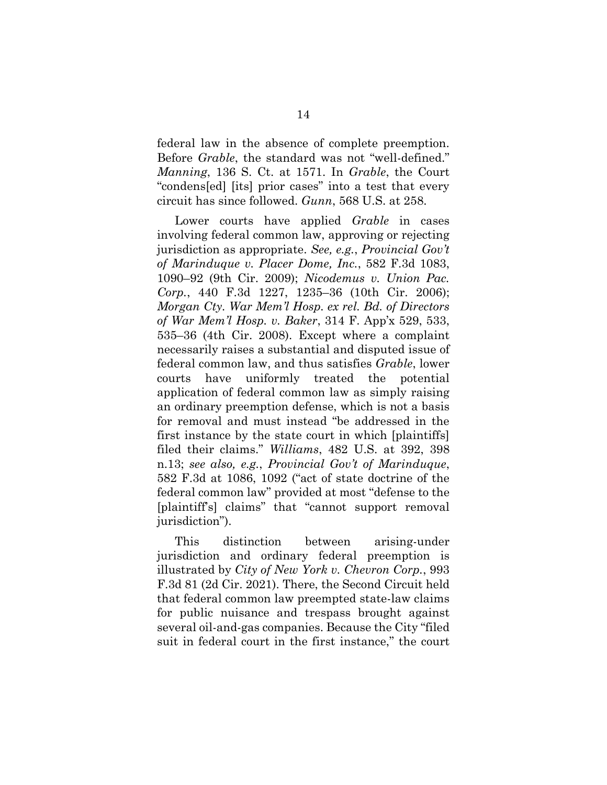federal law in the absence of complete preemption. Before *Grable*, the standard was not "well-defined." *Manning*, 136 S. Ct. at 1571. In *Grable*, the Court "condens[ed] [its] prior cases" into a test that every circuit has since followed. *Gunn*, 568 U.S. at 258.

Lower courts have applied *Grable* in cases involving federal common law, approving or rejecting jurisdiction as appropriate. *See, e.g.*, *Provincial Gov't of Marinduque v. Placer Dome, Inc.*, 582 F.3d 1083, 1090–92 (9th Cir. 2009); *Nicodemus v. Union Pac. Corp.*, 440 F.3d 1227, 1235–36 (10th Cir. 2006); *Morgan Cty. War Mem'l Hosp. ex rel. Bd. of Directors of War Mem'l Hosp. v. Baker*, 314 F. App'x 529, 533, 535–36 (4th Cir. 2008). Except where a complaint necessarily raises a substantial and disputed issue of federal common law, and thus satisfies *Grable*, lower courts have uniformly treated the potential application of federal common law as simply raising an ordinary preemption defense, which is not a basis for removal and must instead "be addressed in the first instance by the state court in which [plaintiffs] filed their claims." *Williams*, 482 U.S. at 392, 398 n.13; *see also, e.g.*, *Provincial Gov't of Marinduque*, 582 F.3d at 1086, 1092 ("act of state doctrine of the federal common law" provided at most "defense to the [plaintiff's] claims" that "cannot support removal jurisdiction").

This distinction between arising-under jurisdiction and ordinary federal preemption is illustrated by *City of New York v. Chevron Corp.*, 993 F.3d 81 (2d Cir. 2021). There, the Second Circuit held that federal common law preempted state-law claims for public nuisance and trespass brought against several oil-and-gas companies. Because the City "filed suit in federal court in the first instance," the court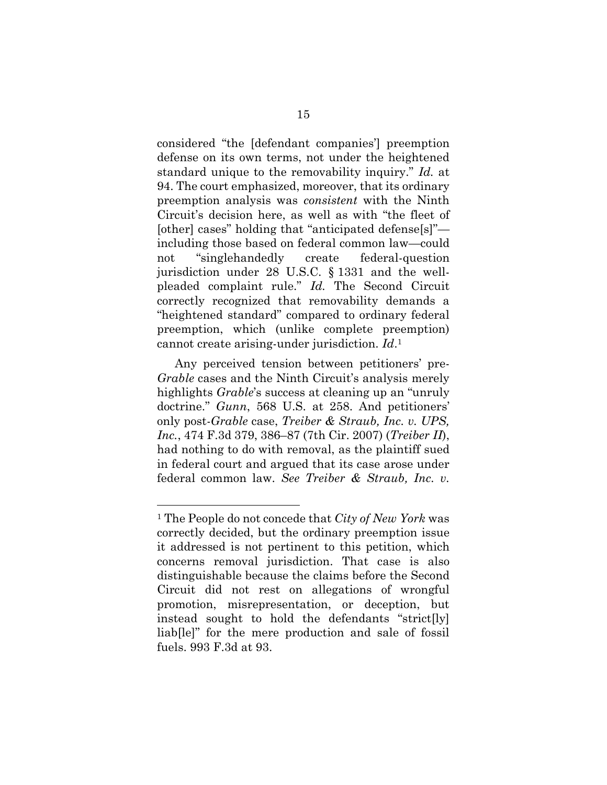considered "the [defendant companies'] preemption defense on its own terms, not under the heightened standard unique to the removability inquiry." *Id.* at 94. The court emphasized, moreover, that its ordinary preemption analysis was *consistent* with the Ninth Circuit's decision here, as well as with "the fleet of [other] cases" holding that "anticipated defense[s]" including those based on federal common law—could not "singlehandedly create federal-question jurisdiction under 28 U.S.C. § 1331 and the wellpleaded complaint rule." *Id.* The Second Circuit correctly recognized that removability demands a "heightened standard" compared to ordinary federal preemption, which (unlike complete preemption) cannot create arising-under jurisdiction. *Id*. 1

Any perceived tension between petitioners' pre-*Grable* cases and the Ninth Circuit's analysis merely highlights *Grable*'s success at cleaning up an "unruly doctrine." *Gunn*, 568 U.S. at 258. And petitioners' only post-*Grable* case, *Treiber & Straub, Inc. v. UPS, Inc.*, 474 F.3d 379, 386–87 (7th Cir. 2007) (*Treiber II*), had nothing to do with removal, as the plaintiff sued in federal court and argued that its case arose under federal common law. *See Treiber & Straub, Inc. v.* 

<sup>1</sup> The People do not concede that *City of New York* was correctly decided, but the ordinary preemption issue it addressed is not pertinent to this petition, which concerns removal jurisdiction. That case is also distinguishable because the claims before the Second Circuit did not rest on allegations of wrongful promotion, misrepresentation, or deception, but instead sought to hold the defendants "strict[ly] liab[le]" for the mere production and sale of fossil fuels. 993 F.3d at 93.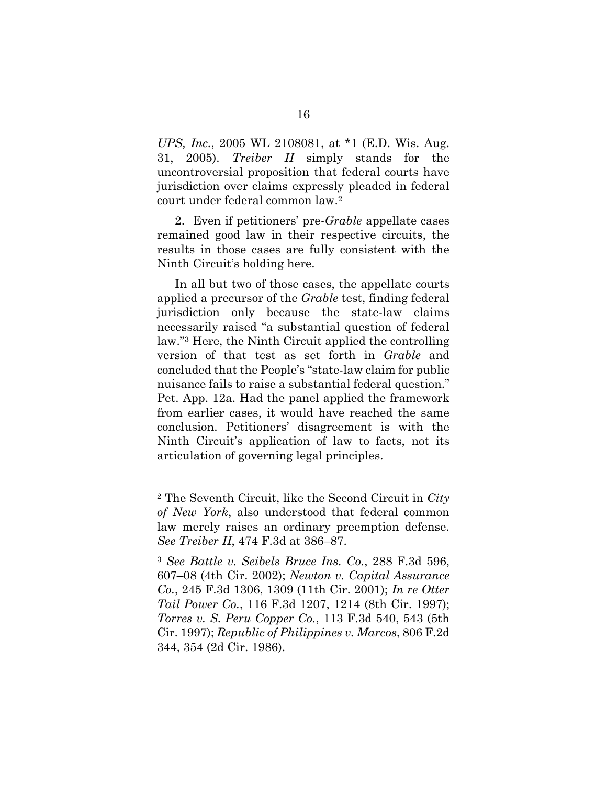*UPS, Inc.*, 2005 WL 2108081, at \*1 (E.D. Wis. Aug. 31, 2005). *Treiber II* simply stands for the uncontroversial proposition that federal courts have jurisdiction over claims expressly pleaded in federal court under federal common law.<sup>2</sup>

2. Even if petitioners' pre-*Grable* appellate cases remained good law in their respective circuits, the results in those cases are fully consistent with the Ninth Circuit's holding here.

In all but two of those cases, the appellate courts applied a precursor of the *Grable* test, finding federal jurisdiction only because the state-law claims necessarily raised "a substantial question of federal law."<sup>3</sup> Here, the Ninth Circuit applied the controlling version of that test as set forth in *Grable* and concluded that the People's "state-law claim for public nuisance fails to raise a substantial federal question." Pet. App. 12a. Had the panel applied the framework from earlier cases, it would have reached the same conclusion. Petitioners' disagreement is with the Ninth Circuit's application of law to facts, not its articulation of governing legal principles.

<sup>2</sup> The Seventh Circuit, like the Second Circuit in *City of New York*, also understood that federal common law merely raises an ordinary preemption defense. *See Treiber II*, 474 F.3d at 386–87.

<sup>3</sup> *See Battle v. Seibels Bruce Ins. Co.*, 288 F.3d 596, 607–08 (4th Cir. 2002); *Newton v. Capital Assurance Co.*, 245 F.3d 1306, 1309 (11th Cir. 2001); *In re Otter Tail Power Co.*, 116 F.3d 1207, 1214 (8th Cir. 1997); *Torres v. S. Peru Copper Co.*, 113 F.3d 540, 543 (5th Cir. 1997); *Republic of Philippines v. Marcos*, 806 F.2d 344, 354 (2d Cir. 1986).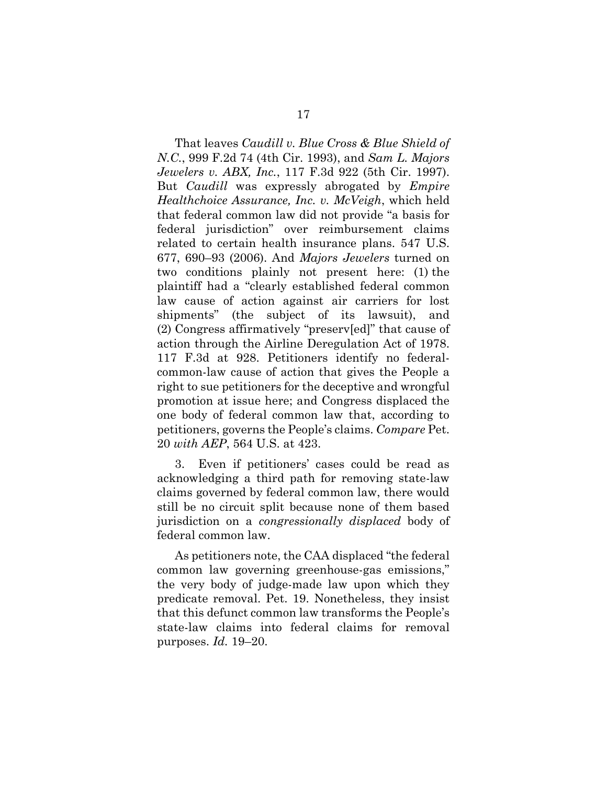That leaves *Caudill v. Blue Cross & Blue Shield of N.C.*, 999 F.2d 74 (4th Cir. 1993), and *Sam L. Majors Jewelers v. ABX, Inc.*, 117 F.3d 922 (5th Cir. 1997). But *Caudill* was expressly abrogated by *Empire Healthchoice Assurance, Inc. v. McVeigh*, which held that federal common law did not provide "a basis for federal jurisdiction" over reimbursement claims related to certain health insurance plans. 547 U.S. 677, 690–93 (2006). And *Majors Jewelers* turned on two conditions plainly not present here: (1) the plaintiff had a "clearly established federal common law cause of action against air carriers for lost shipments" (the subject of its lawsuit), and (2) Congress affirmatively "preserv[ed]" that cause of action through the Airline Deregulation Act of 1978. 117 F.3d at 928. Petitioners identify no federalcommon-law cause of action that gives the People a right to sue petitioners for the deceptive and wrongful promotion at issue here; and Congress displaced the one body of federal common law that, according to petitioners, governs the People's claims. *Compare* Pet. 20 *with AEP*, 564 U.S. at 423.

3. Even if petitioners' cases could be read as acknowledging a third path for removing state-law claims governed by federal common law, there would still be no circuit split because none of them based jurisdiction on a *congressionally displaced* body of federal common law.

As petitioners note, the CAA displaced "the federal common law governing greenhouse-gas emissions," the very body of judge-made law upon which they predicate removal. Pet. 19. Nonetheless, they insist that this defunct common law transforms the People's state-law claims into federal claims for removal purposes. *Id.* 19–20.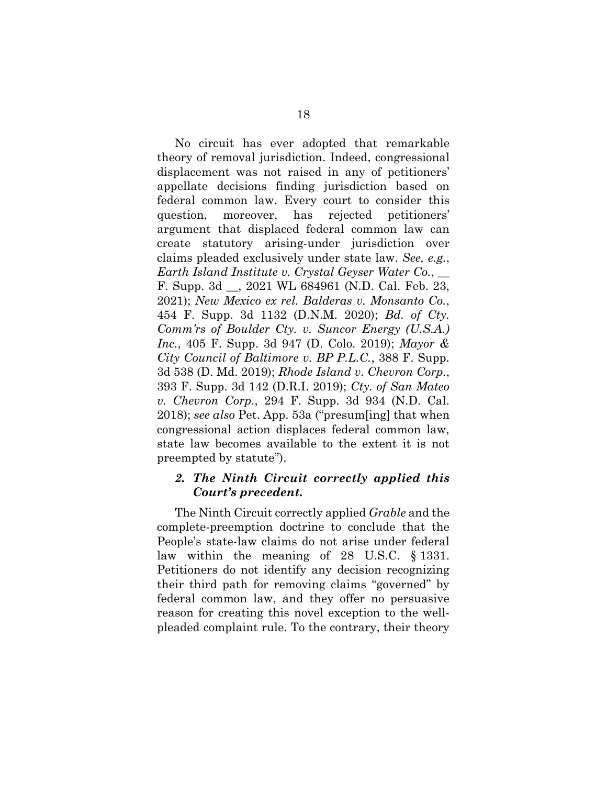No circuit has ever adopted that remarkable theory of removal jurisdiction. Indeed, congressional displacement was not raised in any of petitioners' appellate decisions finding jurisdiction based on federal common law. Every court to consider this question, moreover, has rejected petitioners' argument that displaced federal common law can create statutory arising-under jurisdiction over claims pleaded exclusively under state law. *See, e.g.*, *Earth Island Institute v. Crystal Geyser Water Co.*, \_\_ F. Supp. 3d \_\_, 2021 WL 684961 (N.D. Cal. Feb. 23, 2021); *New Mexico ex rel. Balderas v. Monsanto Co.*, 454 F. Supp. 3d 1132 (D.N.M. 2020); *Bd. of Cty. Comm'rs of Boulder Cty. v. Suncor Energy (U.S.A.) Inc.*, 405 F. Supp. 3d 947 (D. Colo. 2019); *Mayor & City Council of Baltimore v. BP P.L.C.*, 388 F. Supp. 3d 538 (D. Md. 2019); *Rhode Island v. Chevron Corp.*, 393 F. Supp. 3d 142 (D.R.I. 2019); *Cty. of San Mateo v. Chevron Corp.*, 294 F. Supp. 3d 934 (N.D. Cal. 2018); *see also* Pet. App. 53a ("presum[ing] that when congressional action displaces federal common law, state law becomes available to the extent it is not preempted by statute").

### <span id="page-26-0"></span>*2. The Ninth Circuit correctly applied this Court's precedent.*

The Ninth Circuit correctly applied *Grable* and the complete-preemption doctrine to conclude that the People's state-law claims do not arise under federal law within the meaning of 28 U.S.C. § 1331. Petitioners do not identify any decision recognizing their third path for removing claims "governed" by federal common law, and they offer no persuasive reason for creating this novel exception to the wellpleaded complaint rule. To the contrary, their theory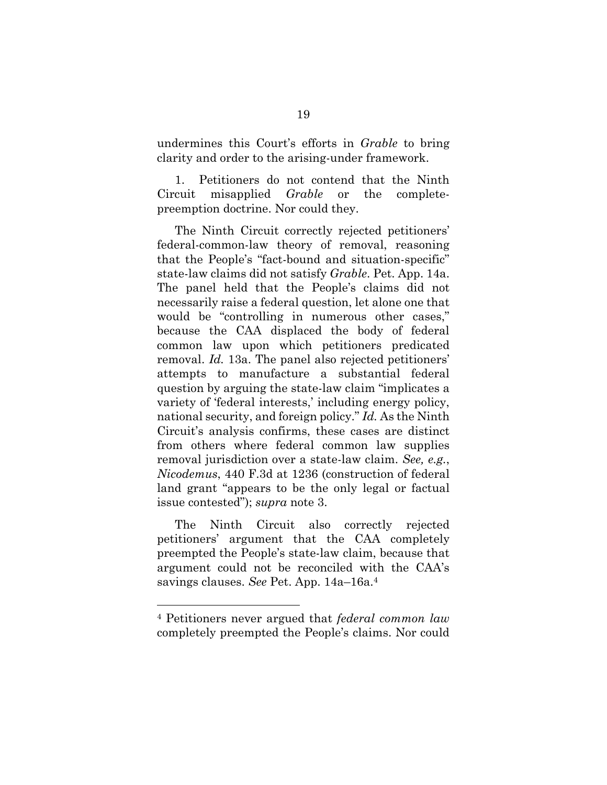undermines this Court's efforts in *Grable* to bring clarity and order to the arising-under framework.

1. Petitioners do not contend that the Ninth Circuit misapplied *Grable* or the completepreemption doctrine. Nor could they.

The Ninth Circuit correctly rejected petitioners' federal-common-law theory of removal, reasoning that the People's "fact-bound and situation-specific" state-law claims did not satisfy *Grable*. Pet. App. 14a. The panel held that the People's claims did not necessarily raise a federal question, let alone one that would be "controlling in numerous other cases," because the CAA displaced the body of federal common law upon which petitioners predicated removal. *Id.* 13a. The panel also rejected petitioners' attempts to manufacture a substantial federal question by arguing the state-law claim "implicates a variety of 'federal interests,' including energy policy, national security, and foreign policy." *Id.* As the Ninth Circuit's analysis confirms, these cases are distinct from others where federal common law supplies removal jurisdiction over a state-law claim. *See, e.g.*, *Nicodemus*, 440 F.3d at 1236 (construction of federal land grant "appears to be the only legal or factual issue contested"); *supra* note 3.

The Ninth Circuit also correctly rejected petitioners' argument that the CAA completely preempted the People's state-law claim, because that argument could not be reconciled with the CAA's savings clauses. *See* Pet. App. 14a–16a. 4

<sup>4</sup> Petitioners never argued that *federal common law* completely preempted the People's claims. Nor could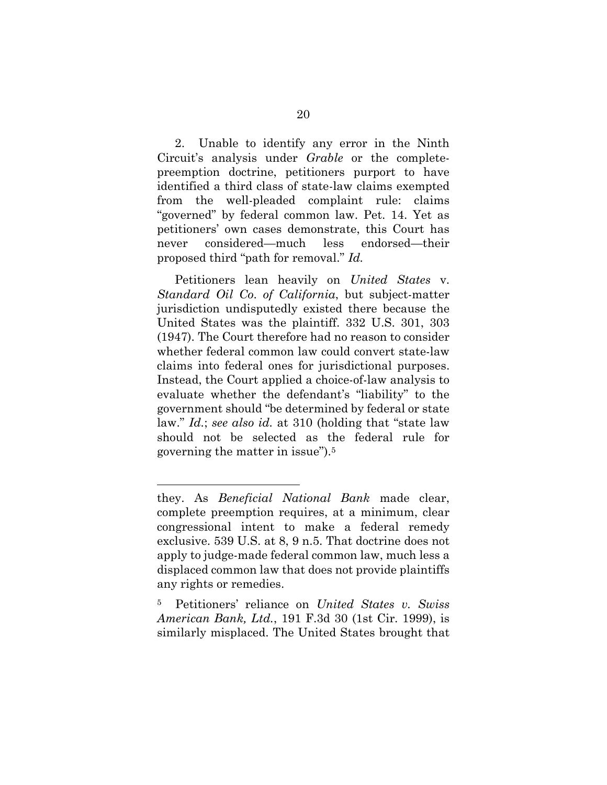2. Unable to identify any error in the Ninth Circuit's analysis under *Grable* or the completepreemption doctrine, petitioners purport to have identified a third class of state-law claims exempted from the well-pleaded complaint rule: claims "governed" by federal common law. Pet. 14. Yet as petitioners' own cases demonstrate, this Court has never considered—much less endorsed—their proposed third "path for removal." *Id.*

Petitioners lean heavily on *United States* v. *Standard Oil Co*. *of California*, but subject-matter jurisdiction undisputedly existed there because the United States was the plaintiff. 332 U.S. 301, 303 (1947). The Court therefore had no reason to consider whether federal common law could convert state-law claims into federal ones for jurisdictional purposes. Instead, the Court applied a choice-of-law analysis to evaluate whether the defendant's "liability" to the government should "be determined by federal or state law." *Id.*; *see also id.* at 310 (holding that "state law should not be selected as the federal rule for governing the matter in issue").<sup>5</sup>

they. As *Beneficial National Bank* made clear, complete preemption requires, at a minimum, clear congressional intent to make a federal remedy exclusive. 539 U.S. at 8, 9 n.5. That doctrine does not apply to judge-made federal common law, much less a displaced common law that does not provide plaintiffs any rights or remedies.

<sup>5</sup> Petitioners' reliance on *United States v. Swiss American Bank, Ltd.*, 191 F.3d 30 (1st Cir. 1999), is similarly misplaced. The United States brought that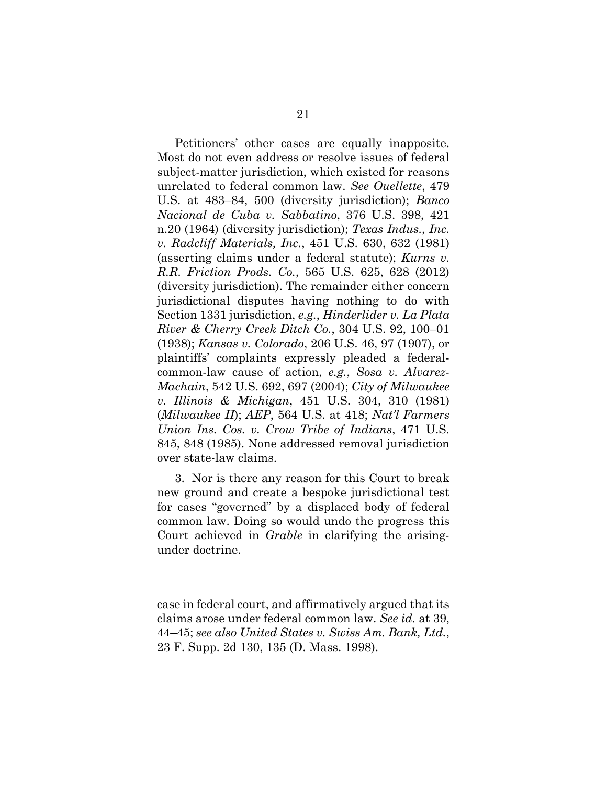Petitioners' other cases are equally inapposite. Most do not even address or resolve issues of federal subject-matter jurisdiction, which existed for reasons unrelated to federal common law. *See Ouellette*, 479 U.S. at 483–84, 500 (diversity jurisdiction); *Banco Nacional de Cuba v. Sabbatino*, 376 U.S. 398, 421 n.20 (1964) (diversity jurisdiction); *Texas Indus., Inc. v. Radcliff Materials, Inc.*, 451 U.S. 630, 632 (1981) (asserting claims under a federal statute); *Kurns v. R.R. Friction Prods. Co.*, 565 U.S. 625, 628 (2012) (diversity jurisdiction). The remainder either concern jurisdictional disputes having nothing to do with Section 1331 jurisdiction, *e.g.*, *Hinderlider v. La Plata River & Cherry Creek Ditch Co.*, 304 U.S. 92, 100–01 (1938); *Kansas v. Colorado*, 206 U.S. 46, 97 (1907), or plaintiffs' complaints expressly pleaded a federalcommon-law cause of action, *e.g.*, *Sosa v. Alvarez-Machain*, 542 U.S. 692, 697 (2004); *City of Milwaukee v. Illinois & Michigan*, 451 U.S. 304, 310 (1981) (*Milwaukee II*); *AEP*, 564 U.S. at 418; *Nat'l Farmers Union Ins. Cos. v. Crow Tribe of Indians*, 471 U.S. 845, 848 (1985). None addressed removal jurisdiction over state-law claims.

3. Nor is there any reason for this Court to break new ground and create a bespoke jurisdictional test for cases "governed" by a displaced body of federal common law. Doing so would undo the progress this Court achieved in *Grable* in clarifying the arisingunder doctrine.

case in federal court, and affirmatively argued that its claims arose under federal common law. *See id.* at 39, 44–45; *see also United States v. Swiss Am. Bank, Ltd.*, 23 F. Supp. 2d 130, 135 (D. Mass. 1998).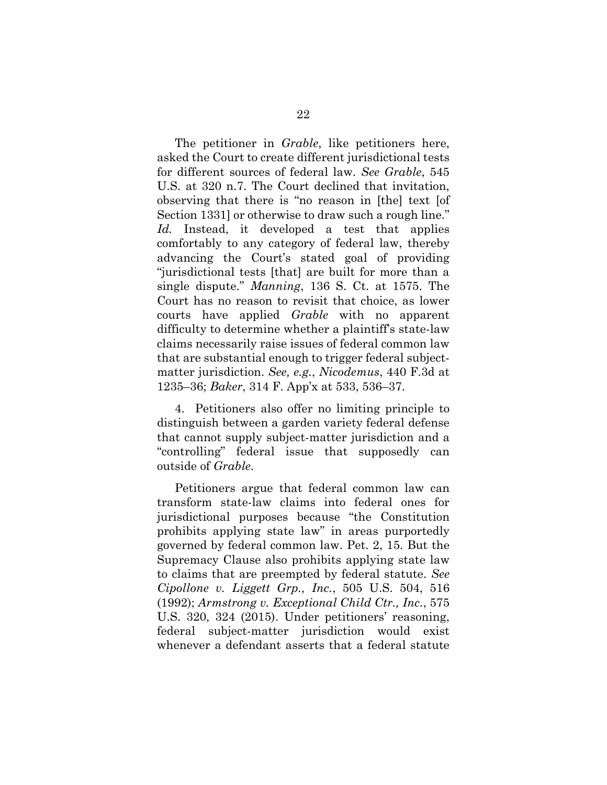The petitioner in *Grable*, like petitioners here, asked the Court to create different jurisdictional tests for different sources of federal law. *See Grable*, 545 U.S. at 320 n.7. The Court declined that invitation, observing that there is "no reason in [the] text [of Section 1331] or otherwise to draw such a rough line." *Id.* Instead, it developed a test that applies comfortably to any category of federal law, thereby advancing the Court's stated goal of providing "jurisdictional tests [that] are built for more than a single dispute." *Manning*, 136 S. Ct. at 1575. The Court has no reason to revisit that choice, as lower courts have applied *Grable* with no apparent difficulty to determine whether a plaintiff's state-law claims necessarily raise issues of federal common law that are substantial enough to trigger federal subjectmatter jurisdiction. *See, e.g.*, *Nicodemus*, 440 F.3d at 1235–36; *Baker*, 314 F. App'x at 533, 536–37.

4. Petitioners also offer no limiting principle to distinguish between a garden variety federal defense that cannot supply subject-matter jurisdiction and a "controlling" federal issue that supposedly can outside of *Grable*.

Petitioners argue that federal common law can transform state-law claims into federal ones for jurisdictional purposes because "the Constitution prohibits applying state law" in areas purportedly governed by federal common law. Pet. 2, 15. But the Supremacy Clause also prohibits applying state law to claims that are preempted by federal statute. *See Cipollone v. Liggett Grp., Inc.*, 505 U.S. 504, 516 (1992); *Armstrong v. Exceptional Child Ctr., Inc.*, 575 U.S. 320, 324 (2015). Under petitioners' reasoning, federal subject-matter jurisdiction would exist whenever a defendant asserts that a federal statute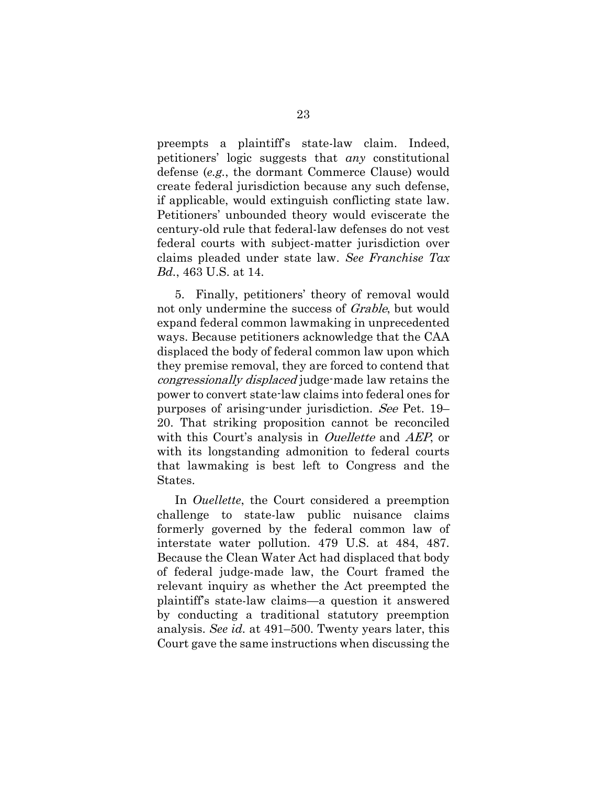preempts a plaintiff's state-law claim. Indeed, petitioners' logic suggests that *any* constitutional defense (*e.g.*, the dormant Commerce Clause) would create federal jurisdiction because any such defense, if applicable, would extinguish conflicting state law. Petitioners' unbounded theory would eviscerate the century-old rule that federal-law defenses do not vest federal courts with subject-matter jurisdiction over claims pleaded under state law. *See Franchise Tax Bd.*, 463 U.S. at 14.

5. Finally, petitioners' theory of removal would not only undermine the success of Grable, but would expand federal common lawmaking in unprecedented ways. Because petitioners acknowledge that the CAA displaced the body of federal common law upon which they premise removal, they are forced to contend that congressionally displaced judge-made law retains the power to convert state-law claims into federal ones for purposes of arising-under jurisdiction. See Pet. 19– 20. That striking proposition cannot be reconciled with this Court's analysis in *Ouellette* and *AEP*, or with its longstanding admonition to federal courts that lawmaking is best left to Congress and the States.

In *Ouellette*, the Court considered a preemption challenge to state-law public nuisance claims formerly governed by the federal common law of interstate water pollution. 479 U.S. at 484, 487. Because the Clean Water Act had displaced that body of federal judge-made law, the Court framed the relevant inquiry as whether the Act preempted the plaintiff's state-law claims—a question it answered by conducting a traditional statutory preemption analysis. *See id.* at 491–500. Twenty years later, this Court gave the same instructions when discussing the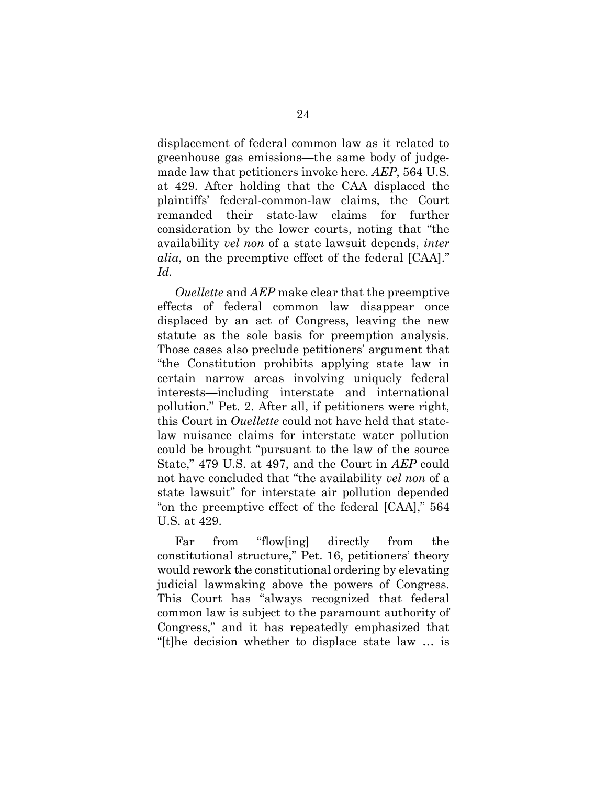displacement of federal common law as it related to greenhouse gas emissions—the same body of judgemade law that petitioners invoke here. *AEP*, 564 U.S. at 429. After holding that the CAA displaced the plaintiffs' federal-common-law claims, the Court remanded their state-law claims for further consideration by the lower courts, noting that "the availability *vel non* of a state lawsuit depends, *inter alia*, on the preemptive effect of the federal [CAA]." *Id.*

*Ouellette* and *AEP* make clear that the preemptive effects of federal common law disappear once displaced by an act of Congress, leaving the new statute as the sole basis for preemption analysis. Those cases also preclude petitioners' argument that "the Constitution prohibits applying state law in certain narrow areas involving uniquely federal interests—including interstate and international pollution." Pet. 2. After all, if petitioners were right, this Court in *Ouellette* could not have held that statelaw nuisance claims for interstate water pollution could be brought "pursuant to the law of the source State," 479 U.S. at 497, and the Court in *AEP* could not have concluded that "the availability *vel non* of a state lawsuit" for interstate air pollution depended "on the preemptive effect of the federal [CAA]," 564 U.S. at 429.

Far from "flow[ing] directly from the constitutional structure," Pet. 16, petitioners' theory would rework the constitutional ordering by elevating judicial lawmaking above the powers of Congress. This Court has "always recognized that federal common law is subject to the paramount authority of Congress," and it has repeatedly emphasized that "[t]he decision whether to displace state law … is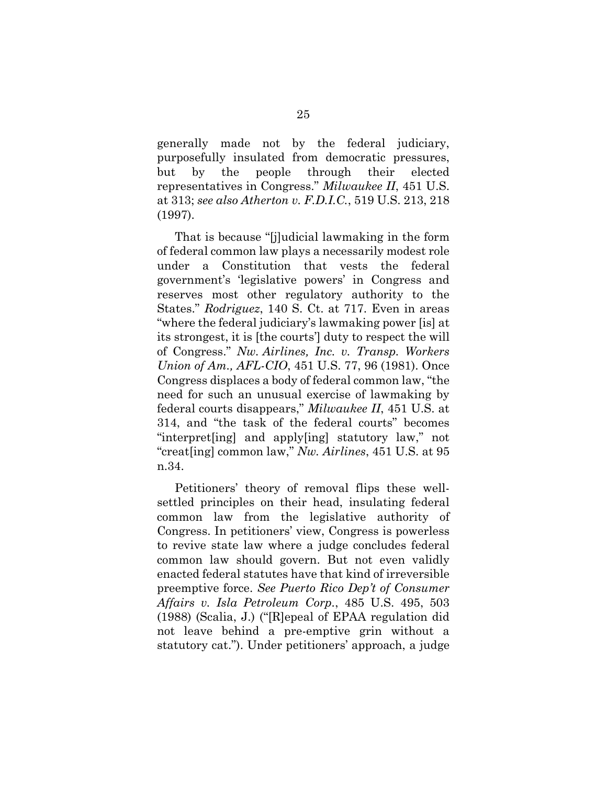generally made not by the federal judiciary, purposefully insulated from democratic pressures, but by the people through their elected representatives in Congress." *Milwaukee II*, 451 U.S. at 313; *see also Atherton v. F.D.I.C.*, 519 U.S. 213, 218 (1997).

That is because "[j]udicial lawmaking in the form of federal common law plays a necessarily modest role under a Constitution that vests the federal government's 'legislative powers' in Congress and reserves most other regulatory authority to the States." *Rodriguez*, 140 S. Ct. at 717. Even in areas "where the federal judiciary's lawmaking power [is] at its strongest, it is [the courts'] duty to respect the will of Congress." *Nw. Airlines, Inc. v. Transp. Workers Union of Am., AFL-CIO*, 451 U.S. 77, 96 (1981). Once Congress displaces a body of federal common law, "the need for such an unusual exercise of lawmaking by federal courts disappears," *Milwaukee II*, 451 U.S. at 314, and "the task of the federal courts" becomes "interpret[ing] and apply[ing] statutory law," not "creat[ing] common law," *Nw. Airlines*, 451 U.S. at 95 n.34.

Petitioners' theory of removal flips these wellsettled principles on their head, insulating federal common law from the legislative authority of Congress. In petitioners' view, Congress is powerless to revive state law where a judge concludes federal common law should govern. But not even validly enacted federal statutes have that kind of irreversible preemptive force. *See Puerto Rico Dep't of Consumer Affairs v. Isla Petroleum Corp.*, 485 U.S. 495, 503 (1988) (Scalia, J.) ("[R]epeal of EPAA regulation did not leave behind a pre-emptive grin without a statutory cat."). Under petitioners' approach, a judge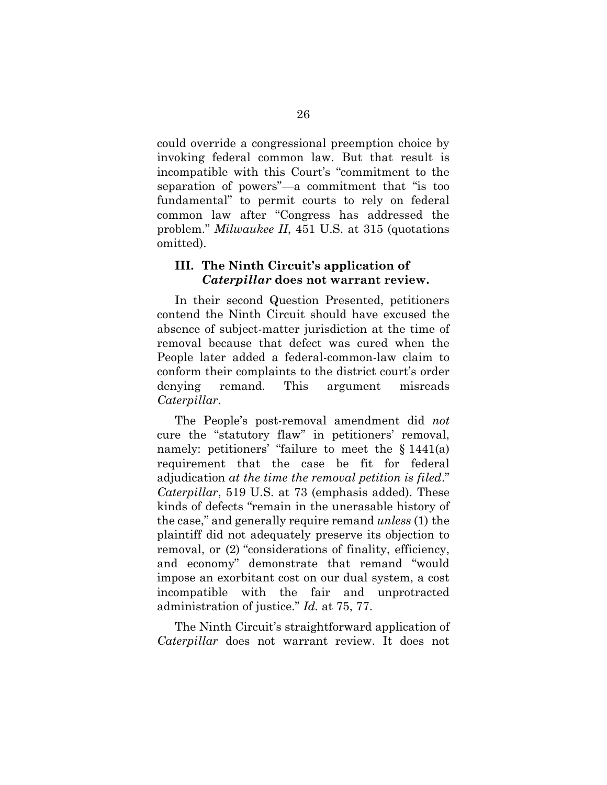could override a congressional preemption choice by invoking federal common law. But that result is incompatible with this Court's "commitment to the separation of powers"—a commitment that "is too fundamental" to permit courts to rely on federal common law after "Congress has addressed the problem." *Milwaukee II*, 451 U.S. at 315 (quotations omitted).

### <span id="page-34-0"></span>**III. The Ninth Circuit's application of**  *Caterpillar* **does not warrant review.**

In their second Question Presented, petitioners contend the Ninth Circuit should have excused the absence of subject-matter jurisdiction at the time of removal because that defect was cured when the People later added a federal-common-law claim to conform their complaints to the district court's order denying remand. This argument misreads *Caterpillar*.

The People's post-removal amendment did *not* cure the "statutory flaw" in petitioners' removal, namely: petitioners' "failure to meet the § 1441(a) requirement that the case be fit for federal adjudication *at the time the removal petition is filed*." *Caterpillar*, 519 U.S. at 73 (emphasis added). These kinds of defects "remain in the unerasable history of the case," and generally require remand *unless* (1) the plaintiff did not adequately preserve its objection to removal, or (2) "considerations of finality, efficiency, and economy" demonstrate that remand "would impose an exorbitant cost on our dual system, a cost incompatible with the fair and unprotracted administration of justice." *Id.* at 75, 77.

The Ninth Circuit's straightforward application of *Caterpillar* does not warrant review. It does not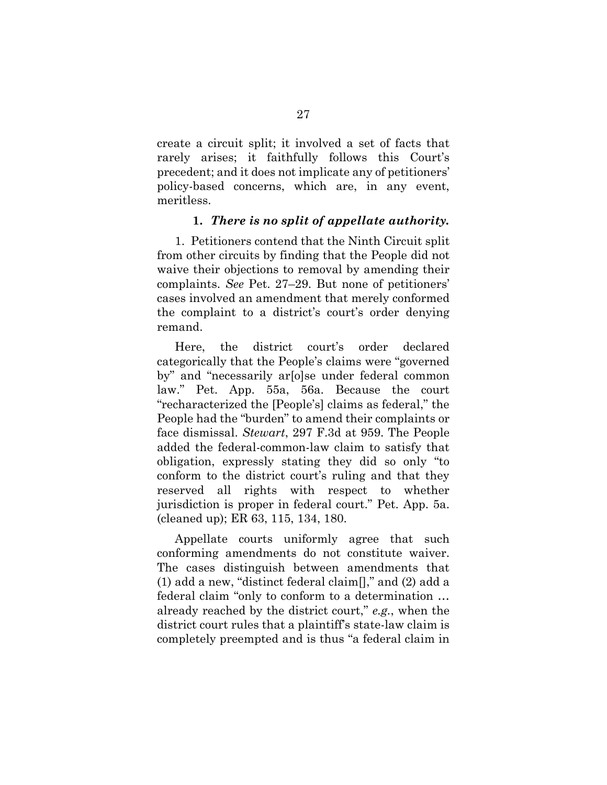create a circuit split; it involved a set of facts that rarely arises; it faithfully follows this Court's precedent; and it does not implicate any of petitioners' policy-based concerns, which are, in any event, meritless.

#### **1.** *There is no split of appellate authority.*

1. Petitioners contend that the Ninth Circuit split from other circuits by finding that the People did not waive their objections to removal by amending their complaints. *See* Pet. 27–29. But none of petitioners' cases involved an amendment that merely conformed the complaint to a district's court's order denying remand.

Here, the district court's order declared categorically that the People's claims were "governed by" and "necessarily ar[o]se under federal common law." Pet. App. 55a, 56a. Because the court "recharacterized the [People's] claims as federal," the People had the "burden" to amend their complaints or face dismissal. *Stewart*, 297 F.3d at 959. The People added the federal-common-law claim to satisfy that obligation, expressly stating they did so only "to conform to the district court's ruling and that they reserved all rights with respect to whether jurisdiction is proper in federal court." Pet. App. 5a. (cleaned up); ER 63, 115, 134, 180.

Appellate courts uniformly agree that such conforming amendments do not constitute waiver. The cases distinguish between amendments that (1) add a new, "distinct federal claim[]," and (2) add a federal claim "only to conform to a determination … already reached by the district court," *e.g.*, when the district court rules that a plaintiff's state-law claim is completely preempted and is thus "a federal claim in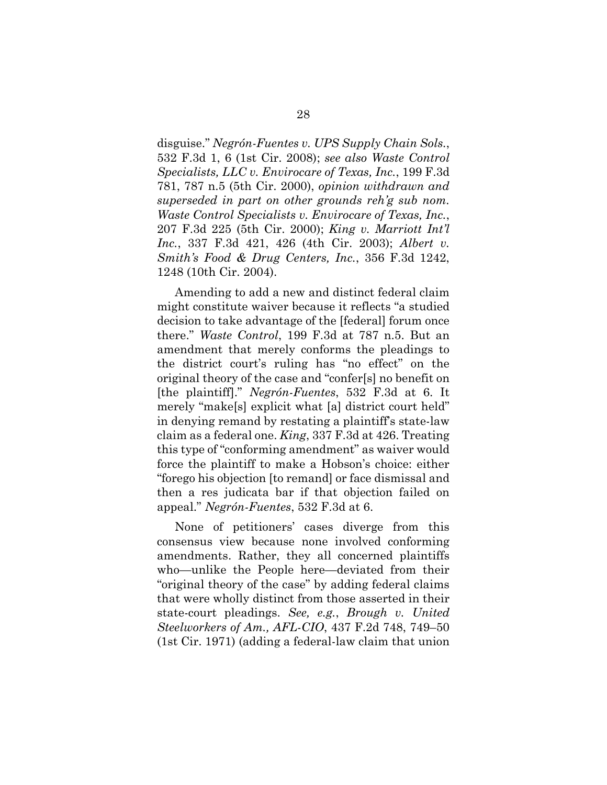disguise." *Negrón-Fuentes v. UPS Supply Chain Sols.*, 532 F.3d 1, 6 (1st Cir. 2008); *see also Waste Control Specialists, LLC v. Envirocare of Texas, Inc.*, 199 F.3d 781, 787 n.5 (5th Cir. 2000), *opinion withdrawn and superseded in part on other grounds reh'g sub nom. Waste Control Specialists v. Envirocare of Texas, Inc.*, 207 F.3d 225 (5th Cir. 2000); *King v. Marriott Int'l Inc.*, 337 F.3d 421, 426 (4th Cir. 2003); *Albert v. Smith's Food & Drug Centers, Inc.*, 356 F.3d 1242, 1248 (10th Cir. 2004).

Amending to add a new and distinct federal claim might constitute waiver because it reflects "a studied decision to take advantage of the [federal] forum once there." *Waste Control*, 199 F.3d at 787 n.5. But an amendment that merely conforms the pleadings to the district court's ruling has "no effect" on the original theory of the case and "confer[s] no benefit on [the plaintiff]." *Negrón-Fuentes*, 532 F.3d at 6. It merely "make[s] explicit what [a] district court held" in denying remand by restating a plaintiff's state-law claim as a federal one. *King*, 337 F.3d at 426. Treating this type of "conforming amendment" as waiver would force the plaintiff to make a Hobson's choice: either "forego his objection [to remand] or face dismissal and then a res judicata bar if that objection failed on appeal." *Negrón-Fuentes*, 532 F.3d at 6.

None of petitioners' cases diverge from this consensus view because none involved conforming amendments. Rather, they all concerned plaintiffs who—unlike the People here—deviated from their "original theory of the case" by adding federal claims that were wholly distinct from those asserted in their state-court pleadings. *See, e.g.*, *Brough v. United Steelworkers of Am., AFL-CIO*, 437 F.2d 748, 749–50 (1st Cir. 1971) (adding a federal-law claim that union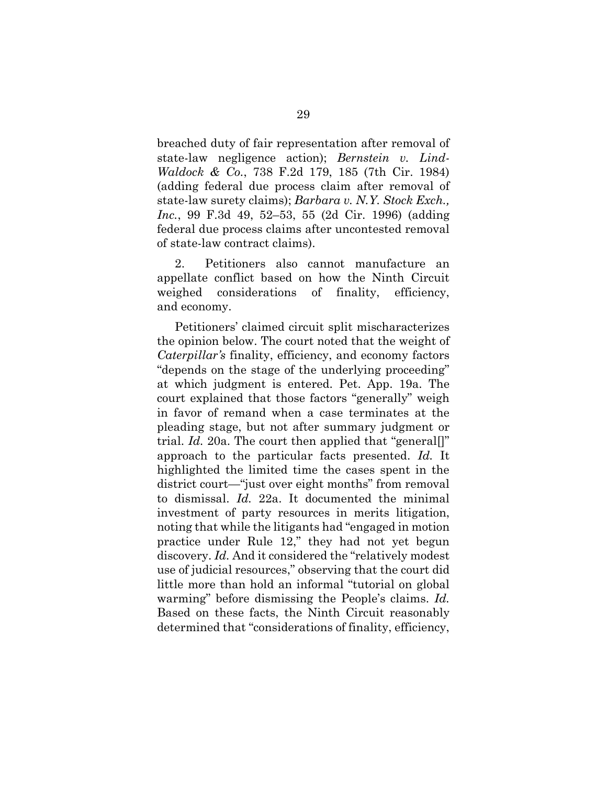breached duty of fair representation after removal of state-law negligence action); *Bernstein v. Lind-Waldock & Co.*, 738 F.2d 179, 185 (7th Cir. 1984) (adding federal due process claim after removal of state-law surety claims); *Barbara v. N.Y. Stock Exch., Inc.*, 99 F.3d 49, 52–53, 55 (2d Cir. 1996) (adding federal due process claims after uncontested removal of state-law contract claims).

2. Petitioners also cannot manufacture an appellate conflict based on how the Ninth Circuit weighed considerations of finality, efficiency, and economy.

Petitioners' claimed circuit split mischaracterizes the opinion below. The court noted that the weight of *Caterpillar's* finality, efficiency, and economy factors "depends on the stage of the underlying proceeding" at which judgment is entered. Pet. App. 19a. The court explained that those factors "generally" weigh in favor of remand when a case terminates at the pleading stage, but not after summary judgment or trial. *Id.* 20a. The court then applied that "general[]" approach to the particular facts presented. *Id.* It highlighted the limited time the cases spent in the district court—"just over eight months" from removal to dismissal. *Id.* 22a. It documented the minimal investment of party resources in merits litigation, noting that while the litigants had "engaged in motion practice under Rule 12," they had not yet begun discovery. *Id.* And it considered the "relatively modest use of judicial resources," observing that the court did little more than hold an informal "tutorial on global warming" before dismissing the People's claims. *Id.* Based on these facts, the Ninth Circuit reasonably determined that "considerations of finality, efficiency,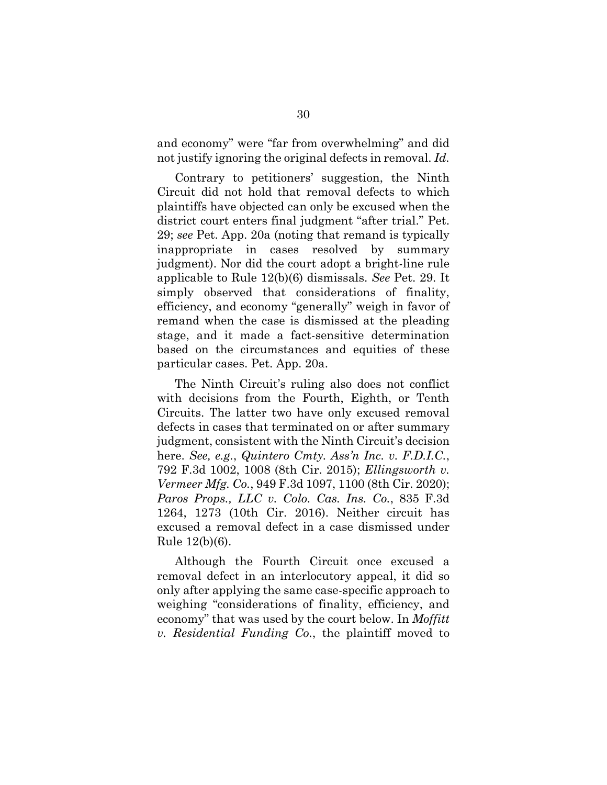and economy" were "far from overwhelming" and did not justify ignoring the original defects in removal. *Id.*

Contrary to petitioners' suggestion, the Ninth Circuit did not hold that removal defects to which plaintiffs have objected can only be excused when the district court enters final judgment "after trial." Pet. 29; *see* Pet. App. 20a (noting that remand is typically inappropriate in cases resolved by summary judgment). Nor did the court adopt a bright-line rule applicable to Rule 12(b)(6) dismissals. *See* Pet. 29. It simply observed that considerations of finality, efficiency, and economy "generally" weigh in favor of remand when the case is dismissed at the pleading stage, and it made a fact-sensitive determination based on the circumstances and equities of these particular cases. Pet. App. 20a.

The Ninth Circuit's ruling also does not conflict with decisions from the Fourth, Eighth, or Tenth Circuits. The latter two have only excused removal defects in cases that terminated on or after summary judgment, consistent with the Ninth Circuit's decision here. *See, e.g.*, *Quintero Cmty. Ass'n Inc. v. F.D.I.C.*, 792 F.3d 1002, 1008 (8th Cir. 2015); *Ellingsworth v. Vermeer Mfg. Co.*, 949 F.3d 1097, 1100 (8th Cir. 2020); *Paros Props., LLC v. Colo. Cas. Ins. Co.*, 835 F.3d 1264, 1273 (10th Cir. 2016). Neither circuit has excused a removal defect in a case dismissed under Rule 12(b)(6).

Although the Fourth Circuit once excused a removal defect in an interlocutory appeal, it did so only after applying the same case-specific approach to weighing "considerations of finality, efficiency, and economy" that was used by the court below. In *Moffitt v. Residential Funding Co.*, the plaintiff moved to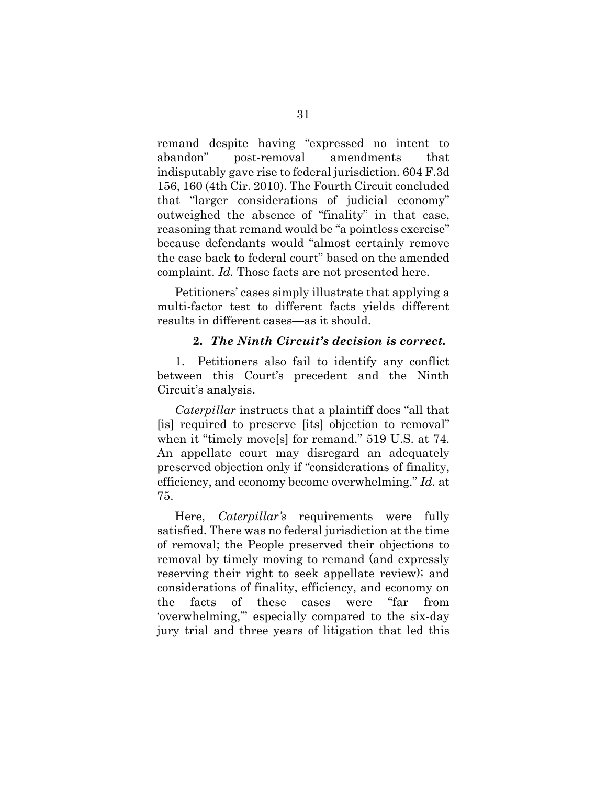remand despite having "expressed no intent to abandon" post-removal amendments that indisputably gave rise to federal jurisdiction. 604 F.3d 156, 160 (4th Cir. 2010). The Fourth Circuit concluded that "larger considerations of judicial economy" outweighed the absence of "finality" in that case, reasoning that remand would be "a pointless exercise" because defendants would "almost certainly remove the case back to federal court" based on the amended complaint. *Id.* Those facts are not presented here.

Petitioners' cases simply illustrate that applying a multi-factor test to different facts yields different results in different cases—as it should.

#### **2.** *The Ninth Circuit's decision is correct.*

1. Petitioners also fail to identify any conflict between this Court's precedent and the Ninth Circuit's analysis.

*Caterpillar* instructs that a plaintiff does "all that [is] required to preserve [its] objection to removal" when it "timely move[s] for remand." 519 U.S. at 74. An appellate court may disregard an adequately preserved objection only if "considerations of finality, efficiency, and economy become overwhelming." *Id.* at 75.

Here, *Caterpillar's* requirements were fully satisfied. There was no federal jurisdiction at the time of removal; the People preserved their objections to removal by timely moving to remand (and expressly reserving their right to seek appellate review); and considerations of finality, efficiency, and economy on the facts of these cases were "far from 'overwhelming,'" especially compared to the six-day jury trial and three years of litigation that led this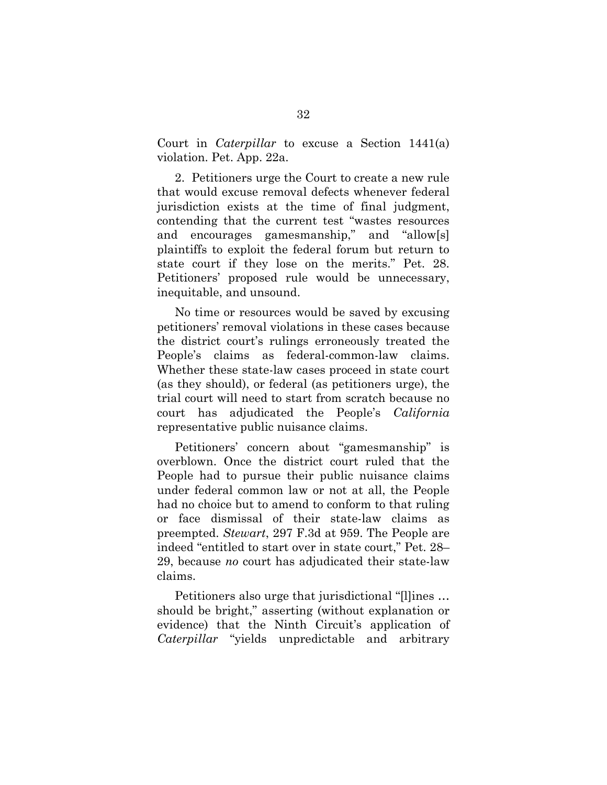Court in *Caterpillar* to excuse a Section 1441(a) violation. Pet. App. 22a.

2. Petitioners urge the Court to create a new rule that would excuse removal defects whenever federal jurisdiction exists at the time of final judgment, contending that the current test "wastes resources and encourages gamesmanship," and "allow[s] plaintiffs to exploit the federal forum but return to state court if they lose on the merits." Pet. 28. Petitioners' proposed rule would be unnecessary, inequitable, and unsound.

No time or resources would be saved by excusing petitioners' removal violations in these cases because the district court's rulings erroneously treated the People's claims as federal-common-law claims. Whether these state-law cases proceed in state court (as they should), or federal (as petitioners urge), the trial court will need to start from scratch because no court has adjudicated the People's *California* representative public nuisance claims.

Petitioners' concern about "gamesmanship" is overblown. Once the district court ruled that the People had to pursue their public nuisance claims under federal common law or not at all, the People had no choice but to amend to conform to that ruling or face dismissal of their state-law claims as preempted. *Stewart*, 297 F.3d at 959. The People are indeed "entitled to start over in state court," Pet. 28– 29, because *no* court has adjudicated their state-law claims.

Petitioners also urge that jurisdictional "[l]ines … should be bright," asserting (without explanation or evidence) that the Ninth Circuit's application of *Caterpillar* "yields unpredictable and arbitrary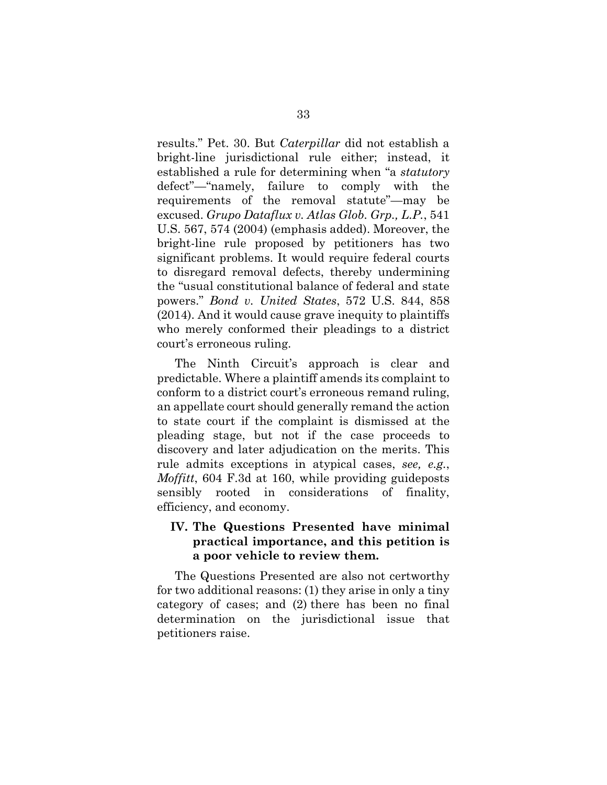results." Pet. 30. But *Caterpillar* did not establish a bright-line jurisdictional rule either; instead, it established a rule for determining when "a *statutory* defect"—"namely, failure to comply with the requirements of the removal statute"—may be excused. *Grupo Dataflux v. Atlas Glob. Grp., L.P.*, 541 U.S. 567, 574 (2004) (emphasis added). Moreover, the bright-line rule proposed by petitioners has two significant problems. It would require federal courts to disregard removal defects, thereby undermining the "usual constitutional balance of federal and state powers." *Bond v. United States*, 572 U.S. 844, 858 (2014). And it would cause grave inequity to plaintiffs who merely conformed their pleadings to a district court's erroneous ruling.

The Ninth Circuit's approach is clear and predictable. Where a plaintiff amends its complaint to conform to a district court's erroneous remand ruling, an appellate court should generally remand the action to state court if the complaint is dismissed at the pleading stage, but not if the case proceeds to discovery and later adjudication on the merits. This rule admits exceptions in atypical cases, *see, e.g.*, *Moffitt*, 604 F.3d at 160, while providing guideposts sensibly rooted in considerations of finality, efficiency, and economy.

## <span id="page-41-0"></span>**IV. The Questions Presented have minimal practical importance, and this petition is a poor vehicle to review them.**

The Questions Presented are also not certworthy for two additional reasons: (1) they arise in only a tiny category of cases; and (2) there has been no final determination on the jurisdictional issue that petitioners raise.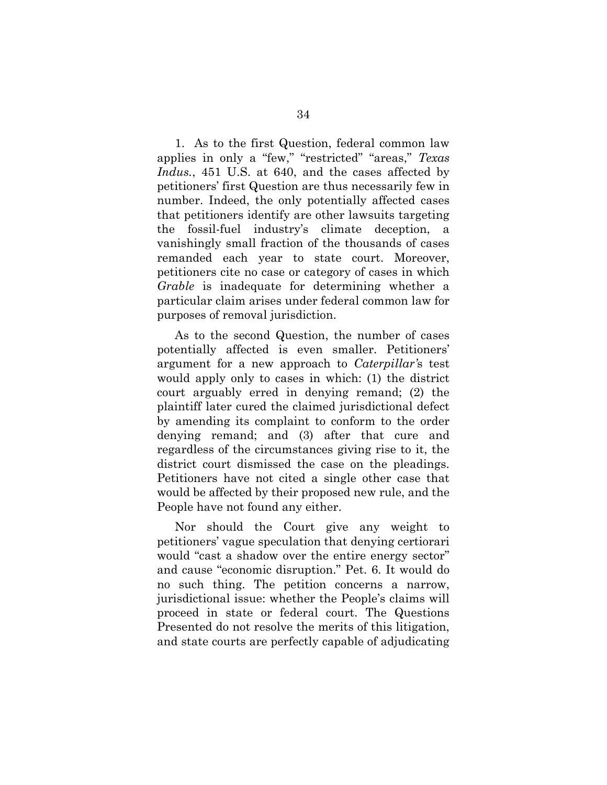1. As to the first Question, federal common law applies in only a "few," "restricted" "areas," *Texas Indus.*, 451 U.S. at 640, and the cases affected by petitioners' first Question are thus necessarily few in number. Indeed, the only potentially affected cases that petitioners identify are other lawsuits targeting the fossil-fuel industry's climate deception, a vanishingly small fraction of the thousands of cases remanded each year to state court. Moreover, petitioners cite no case or category of cases in which *Grable* is inadequate for determining whether a particular claim arises under federal common law for purposes of removal jurisdiction.

As to the second Question, the number of cases potentially affected is even smaller. Petitioners' argument for a new approach to *Caterpillar'*s test would apply only to cases in which: (1) the district court arguably erred in denying remand; (2) the plaintiff later cured the claimed jurisdictional defect by amending its complaint to conform to the order denying remand; and (3) after that cure and regardless of the circumstances giving rise to it, the district court dismissed the case on the pleadings. Petitioners have not cited a single other case that would be affected by their proposed new rule, and the People have not found any either.

Nor should the Court give any weight to petitioners' vague speculation that denying certiorari would "cast a shadow over the entire energy sector" and cause "economic disruption." Pet. 6. It would do no such thing. The petition concerns a narrow, jurisdictional issue: whether the People's claims will proceed in state or federal court. The Questions Presented do not resolve the merits of this litigation, and state courts are perfectly capable of adjudicating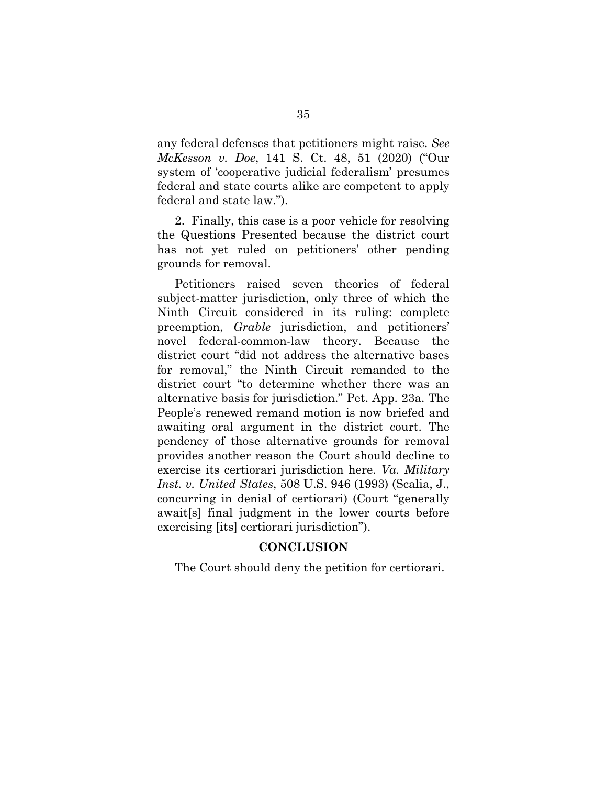any federal defenses that petitioners might raise. *See McKesson v. Doe*, 141 S. Ct. 48, 51 (2020) ("Our system of 'cooperative judicial federalism' presumes federal and state courts alike are competent to apply federal and state law.").

2. Finally, this case is a poor vehicle for resolving the Questions Presented because the district court has not yet ruled on petitioners' other pending grounds for removal.

Petitioners raised seven theories of federal subject-matter jurisdiction, only three of which the Ninth Circuit considered in its ruling: complete preemption, *Grable* jurisdiction, and petitioners' novel federal-common-law theory. Because the district court "did not address the alternative bases for removal," the Ninth Circuit remanded to the district court "to determine whether there was an alternative basis for jurisdiction." Pet. App. 23a. The People's renewed remand motion is now briefed and awaiting oral argument in the district court. The pendency of those alternative grounds for removal provides another reason the Court should decline to exercise its certiorari jurisdiction here. *Va. Military Inst. v. United States*, 508 U.S. 946 (1993) (Scalia, J., concurring in denial of certiorari) (Court "generally await[s] final judgment in the lower courts before exercising [its] certiorari jurisdiction").

#### **CONCLUSION**

<span id="page-43-0"></span>The Court should deny the petition for certiorari.